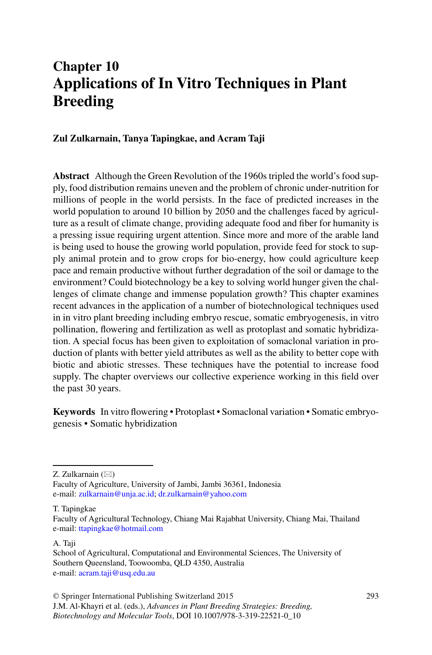# **Chapter 10 Applications of In Vitro Techniques in Plant Breeding**

### **Zul Zulkarnain , Tanya Tapingkae , and Acram Taji**

 **Abstract** Although the Green Revolution of the 1960s tripled the world's food supply, food distribution remains uneven and the problem of chronic under-nutrition for millions of people in the world persists. In the face of predicted increases in the world population to around 10 billion by 2050 and the challenges faced by agriculture as a result of climate change, providing adequate food and fiber for humanity is a pressing issue requiring urgent attention. Since more and more of the arable land is being used to house the growing world population, provide feed for stock to supply animal protein and to grow crops for bio-energy, how could agriculture keep pace and remain productive without further degradation of the soil or damage to the environment? Could biotechnology be a key to solving world hunger given the challenges of climate change and immense population growth? This chapter examines recent advances in the application of a number of biotechnological techniques used in in vitro plant breeding including embryo rescue, somatic embryogenesis, in vitro pollination, flowering and fertilization as well as protoplast and somatic hybridization. A special focus has been given to exploitation of somaclonal variation in production of plants with better yield attributes as well as the ability to better cope with biotic and abiotic stresses. These techniques have the potential to increase food supply. The chapter overviews our collective experience working in this field over the past 30 years.

**Keywords** In vitro flowering • Protoplast • Somaclonal variation • Somatic embryogenesis • Somatic hybridization

Z. Zulkarnain  $(\boxtimes)$ 

Faculty of Agriculture, University of Jambi, Jambi 36361, Indonesia e-mail: [zulkarnain@unja.ac.id;](mailto:zulkarnain@unja.ac.id) [dr.zulkarnain@yahoo.com](mailto:dr.zulkarnain@yahoo.com)

T. Tapingkae

A. Taji

Faculty of Agricultural Technology , Chiang Mai Rajabhat University , Chiang Mai , Thailand e-mail: [ttapingkae@hotmail.com](mailto:ttapingkae@hotmail.com)

School of Agricultural, Computational and Environmental Sciences, The University of Southern Queensland, Toowoomba, QLD 4350, Australia e-mail: [acram.taji@usq.edu.au](mailto:acram.taji@usq.edu.au)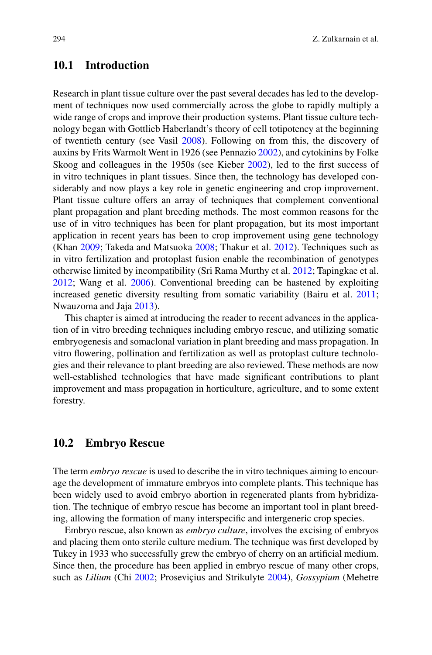# **10.1 Introduction**

 Research in plant tissue culture over the past several decades has led to the development of techniques now used commercially across the globe to rapidly multiply a wide range of crops and improve their production systems. Plant tissue culture technology began with Gottlieb Haberlandt's theory of cell totipotency at the beginning of twentieth century (see Vasil [2008](#page-34-0)). Following on from this, the discovery of auxins by Frits Warmolt Went in 1926 (see Pennazio 2002), and cytokinins by Folke Skoog and colleagues in the  $1950s$  (see Kieber 2002), led to the first success of in vitro techniques in plant tissues. Since then, the technology has developed considerably and now plays a key role in genetic engineering and crop improvement. Plant tissue culture offers an array of techniques that complement conventional plant propagation and plant breeding methods. The most common reasons for the use of in vitro techniques has been for plant propagation, but its most important application in recent years has been to crop improvement using gene technology (Khan 2009; Takeda and Matsuoka 2008; Thakur et al. 2012). Techniques such as in vitro fertilization and protoplast fusion enable the recombination of genotypes otherwise limited by incompatibility (Sri Rama Murthy et al. 2012; Tapingkae et al. 2012; Wang et al. [2006](#page-34-0)). Conventional breeding can be hastened by exploiting increased genetic diversity resulting from somatic variability (Bairu et al. 2011; Nwauzoma and Jaja 2013).

 This chapter is aimed at introducing the reader to recent advances in the application of in vitro breeding techniques including embryo rescue, and utilizing somatic embryogenesis and somaclonal variation in plant breeding and mass propagation . In vitro flowering, pollination and fertilization as well as protoplast culture technologies and their relevance to plant breeding are also reviewed. These methods are now well-established technologies that have made significant contributions to plant improvement and mass propagation in horticulture, agriculture, and to some extent forestry.

# **10.2 Embryo Rescue**

 The term *embryo rescue* is used to describe the in vitro techniques aiming to encourage the development of immature embryos into complete plants. This technique has been widely used to avoid embryo abortion in regenerated plants from hybridization . The technique of embryo rescue has become an important tool in plant breeding, allowing the formation of many interspecific and intergeneric crop species.

 Embryo rescue, also known as *embryo culture* , involves the excising of embryos and placing them onto sterile culture medium. The technique was first developed by Tukey in 1933 who successfully grew the embryo of cherry on an artificial medium. Since then, the procedure has been applied in embryo rescue of many other crops, such as *Lilium* (Chi [2002](#page-26-0); Prosevicius and Strikulyte [2004](#page-31-0)), *Gossypium* (Mehetre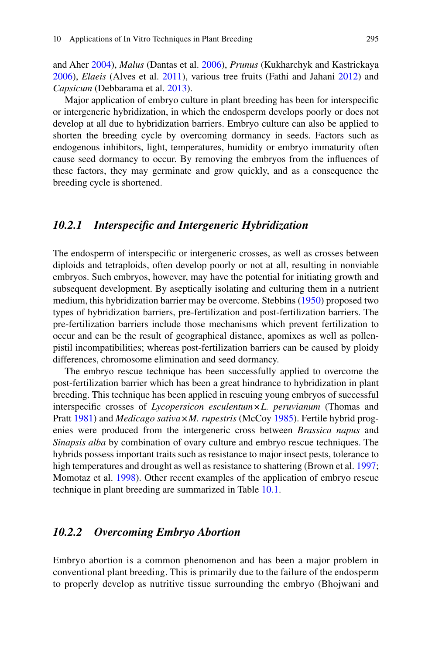and Aher [2004](#page-30-0) ), *Malus* (Dantas et al. [2006](#page-26-0) ), *Prunus* (Kukharchyk and Kastrickaya [2006 \)](#page-29-0), *Elaeis* (Alves et al. [2011](#page-24-0) ), various tree fruits (Fathi and Jahani [2012](#page-27-0) ) and *Capsicum* (Debbarama et al. [2013](#page-27-0)).

Major application of embryo culture in plant breeding has been for interspecific or intergeneric hybridization , in which the endosperm develops poorly or does not develop at all due to hybridization barriers. Embryo culture can also be applied to shorten the breeding cycle by overcoming dormancy in seeds. Factors such as endogenous inhibitors, light, temperatures, humidity or embryo immaturity often cause seed dormancy to occur. By removing the embryos from the influences of these factors, they may germinate and grow quickly, and as a consequence the breeding cycle is shortened.

# 10.2.1 Interspecific and Intergeneric Hybridization

The endosperm of interspecific or intergeneric crosses, as well as crosses between diploids and tetraploids, often develop poorly or not at all, resulting in nonviable embryos. Such embryos, however, may have the potential for initiating growth and subsequent development. By aseptically isolating and culturing them in a nutrient medium, this hybridization barrier may be overcome. Stebbins [\( 1950](#page-33-0) ) proposed two types of hybridization barriers, pre-fertilization and post-fertilization barriers. The pre-fertilization barriers include those mechanisms which prevent fertilization to occur and can be the result of geographical distance, apomixes as well as pollenpistil incompatibilities; whereas post-fertilization barriers can be caused by ploidy differences, chromosome elimination and seed dormancy.

 The embryo rescue technique has been successfully applied to overcome the post-fertilization barrier which has been a great hindrance to hybridization in plant breeding . This technique has been applied in rescuing young embryos of successful interspecific crosses of *Lycopersicon esculentum* × *L. peruvianum* (Thomas and Pratt [1981](#page-34-0)) and *Medicago sativa* × *M. rupestris* (McCoy 1985). Fertile hybrid progenies were produced from the intergeneric cross between *Brassica napus* and *Sinapsis alba* by combination of ovary culture and embryo rescue techniques. The hybrids possess important traits such as resistance to major insect pests, tolerance to high temperatures and drought as well as resistance to shattering (Brown et al. 1997; Momotaz et al. [1998](#page-30-0)). Other recent examples of the application of embryo rescue technique in plant breeding are summarized in Table [10.1 .](#page-3-0)

# *10.2.2 Overcoming Embryo Abortion*

 Embryo abortion is a common phenomenon and has been a major problem in conventional plant breeding. This is primarily due to the failure of the endosperm to properly develop as nutritive tissue surrounding the embryo (Bhojwani and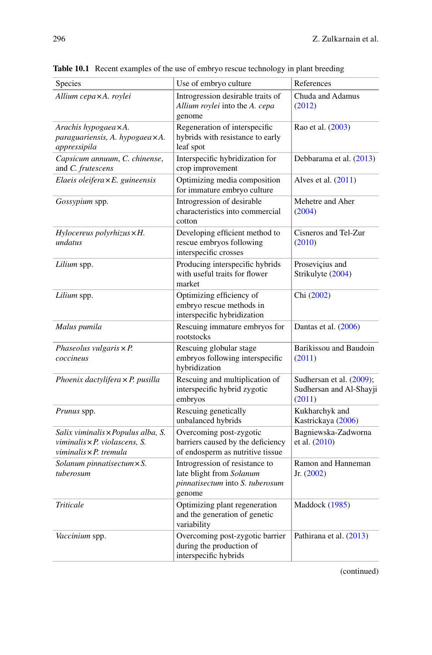| Species                                                                                                     | Use of embryo culture                                                                                   | References                                                       |
|-------------------------------------------------------------------------------------------------------------|---------------------------------------------------------------------------------------------------------|------------------------------------------------------------------|
| Allium cepa×A. roylei                                                                                       | Introgression desirable traits of<br>Allium roylei into the A. cepa<br>genome                           | Chuda and Adamus<br>(2012)                                       |
| Arachis hypogaea×A.<br>paraguariensis, A. hypogaea×A.<br>appressipila                                       | Regeneration of interspecific<br>hybrids with resistance to early<br>leaf spot                          | Rao et al. (2003)                                                |
| Capsicum annuum, C. chinense,<br>and C. frutescens                                                          | Interspecific hybridization for<br>crop improvement                                                     | Debbarama et al. (2013)                                          |
| Elaeis oleifera $\times E$ . guineensis                                                                     | Optimizing media composition<br>for immature embryo culture                                             | Alves et al. $(2011)$                                            |
| Gossypium spp.                                                                                              | Introgression of desirable<br>characteristics into commercial<br>cotton                                 | Mehetre and Aher<br>(2004)                                       |
| $Hylocereus$ polyrhizus $\times H$ .<br>undatus                                                             | Developing efficient method to<br>rescue embryos following<br>interspecific crosses                     | Cisneros and Tel-Zur<br>(2010)                                   |
| Lilium spp.                                                                                                 | Producing interspecific hybrids<br>with useful traits for flower<br>market                              | Proseviçius and<br>Strikulyte (2004)                             |
| Lilium spp.                                                                                                 | Optimizing efficiency of<br>embryo rescue methods in<br>interspecific hybridization                     | Chi (2002)                                                       |
| Malus pumila                                                                                                | Rescuing immature embryos for<br>rootstocks                                                             | Dantas et al. $(2006)$                                           |
| Phaseolus vulgaris $\times$ P.<br>coccineus                                                                 | Rescuing globular stage<br>embryos following interspecific<br>hybridization                             | Barikissou and Baudoin<br>(2011)                                 |
| Phoenix dactylifera x P. pusilla                                                                            | Rescuing and multiplication of<br>interspecific hybrid zygotic<br>embryos                               | Sudhersan et al. $(2009)$ ;<br>Sudhersan and Al-Shayji<br>(2011) |
| Prunus spp.                                                                                                 | Rescuing genetically<br>unbalanced hybrids                                                              | Kukharchyk and<br>Kastrickaya (2006)                             |
| Salix viminalis $\times$ Populus alba, S.<br>viminalis $\times$ P. violascens. S.<br>viminalis × P. tremula | Overcoming post-zygotic<br>barriers caused by the deficiency<br>of endosperm as nutritive tissue        | Bagniewska-Zadworna<br>et al. (2010)                             |
| Solanum pinnatisectum $\times$ S.<br>tuberosum                                                              | Introgression of resistance to<br>late blight from Solanum<br>pinnatisectum into S. tuberosum<br>genome | Ramon and Hanneman<br>Jr. $(2002)$                               |
| Triticale                                                                                                   | Optimizing plant regeneration<br>and the generation of genetic<br>variability                           | Maddock (1985)                                                   |
| <i>Vaccinium</i> spp.                                                                                       | Overcoming post-zygotic barrier<br>during the production of<br>interspecific hybrids                    | Pathirana et al. (2013)                                          |

<span id="page-3-0"></span> **Table 10.1** Recent examples of the use of embryo rescue technology in plant breeding

(continued)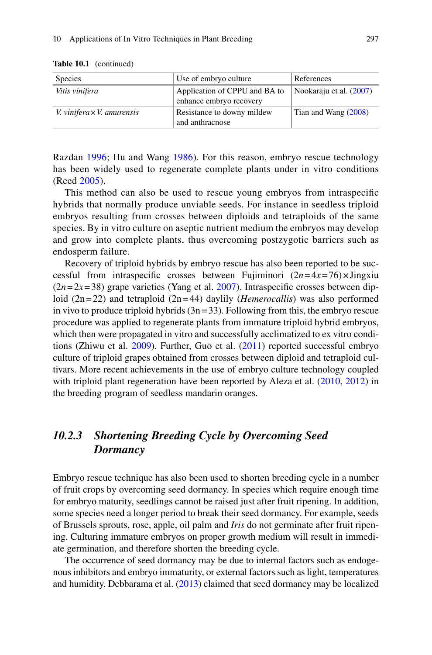| Species                           | Use of embryo culture                                    | References              |
|-----------------------------------|----------------------------------------------------------|-------------------------|
| Vitis vinifera                    | Application of CPPU and BA to<br>enhance embryo recovery | Nookaraju et al. (2007) |
| V. vinifera $\times$ V. amurensis | Resistance to downy mildew<br>and anthracnose            | Tian and Wang (2008)    |

**Table 10.1** (continued)

Razdan 1996; Hu and Wang 1986). For this reason, embryo rescue technology has been widely used to regenerate complete plants under in vitro conditions (Reed 2005).

This method can also be used to rescue young embryos from intraspecific hybrids that normally produce unviable seeds. For instance in seedless triploid embryos resulting from crosses between diploids and tetraploids of the same species. By in vitro culture on aseptic nutrient medium the embryos may develop and grow into complete plants, thus overcoming postzygotic barriers such as endosperm failure.

 Recovery of triploid hybrids by embryo rescue has also been reported to be successful from intraspecific crosses between Fujiminori  $(2n = 4x = 76) \times \text{Jing}$ xiu  $(2n = 2x = 38)$  grape varieties (Yang et al. [2007](#page-35-0)). Intraspecific crosses between diploid  $(2n=22)$  and tetraploid  $(2n=44)$  daylily *(Hemerocallis)* was also performed in vivo to produce triploid hybrids  $(3n=33)$ . Following from this, the embryo rescue procedure was applied to regenerate plants from immature triploid hybrid embryos, which then were propagated in vitro and successfully acclimatized to ex vitro conditions (Zhiwu et al. 2009). Further, Guo et al. (2011) reported successful embryo culture of triploid grapes obtained from crosses between diploid and tetraploid cultivars. More recent achievements in the use of embryo culture technology coupled with triploid plant regeneration have been reported by Aleza et al.  $(2010, 2012)$  in the breeding program of seedless mandarin oranges.

# *10.2.3 Shortening Breeding Cycle by Overcoming Seed Dormancy*

 Embryo rescue technique has also been used to shorten breeding cycle in a number of fruit crops by overcoming seed dormancy. In species which require enough time for embryo maturity, seedlings cannot be raised just after fruit ripening. In addition, some species need a longer period to break their seed dormancy. For example, seeds of Brussels sprouts, rose, apple, oil palm and *Iris* do not germinate after fruit ripening. Culturing immature embryos on proper growth medium will result in immediate germination, and therefore shorten the breeding cycle.

 The occurrence of seed dormancy may be due to internal factors such as endogenous inhibitors and embryo immaturity, or external factors such as light, temperatures and humidity. Debbarama et al.  $(2013)$  claimed that seed dormancy may be localized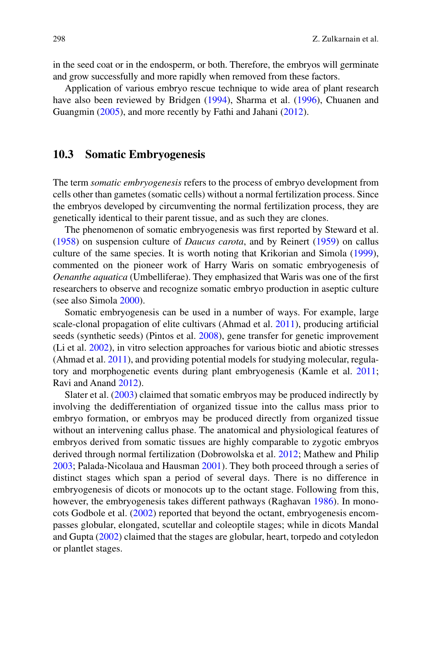in the seed coat or in the endosperm, or both. Therefore, the embryos will germinate and grow successfully and more rapidly when removed from these factors.

 Application of various embryo rescue technique to wide area of plant research have also been reviewed by Bridgen (1994), Sharma et al. (1996), Chuanen and Guangmin (2005), and more recently by Fathi and Jahani (2012).

# **10.3 Somatic Embryogenesis**

 The term *somatic embryogenesis* refers to the process of embryo development from cells other than gametes (somatic cells) without a normal fertilization process. Since the embryos developed by circumventing the normal fertilization process, they are genetically identical to their parent tissue, and as such they are clones.

The phenomenon of somatic embryogenesis was first reported by Steward et al. [\( 1958](#page-33-0) ) on suspension culture of *Daucus carota* , and by Reinert ( [1959 \)](#page-32-0) on callus culture of the same species. It is worth noting that Krikorian and Simola (1999), commented on the pioneer work of Harry Waris on somatic embryogenesis of *Oenanthe aquatica* (Umbelliferae). They emphasized that Waris was one of the first researchers to observe and recognize somatic embryo production in aseptic culture (see also Simola 2000).

 Somatic embryogenesis can be used in a number of ways. For example, large scale-clonal propagation of elite cultivars (Ahmad et al.  $2011$ ), producing artificial seeds (synthetic seeds) (Pintos et al. [2008](#page-31-0)), gene transfer for genetic improvement (Li et al. 2002), in vitro selection approaches for various biotic and abiotic stresses (Ahmad et al. 2011), and providing potential models for studying molecular, regulatory and morphogenetic events during plant embryogenesis (Kamle et al. 2011; Ravi and Anand 2012).

Slater et al. (2003) claimed that somatic embryos may be produced indirectly by involving the dedifferentiation of organized tissue into the callus mass prior to embryo formation, or embryos may be produced directly from organized tissue without an intervening callus phase. The anatomical and physiological features of embryos derived from somatic tissues are highly comparable to zygotic embryos derived through normal fertilization (Dobrowolska et al. 2012; Mathew and Philip [2003](#page-30-0); Palada-Nicolaua and Hausman 2001). They both proceed through a series of distinct stages which span a period of several days. There is no difference in embryogenesis of dicots or monocots up to the octant stage. Following from this, however, the embryogenesis takes different pathways (Raghavan [1986](#page-32-0)). In monocots Godbole et al. (2002) reported that beyond the octant, embryogenesis encompasses globular, elongated, scutellar and coleoptile stages; while in dicots Mandal and Gupta (2002) claimed that the stages are globular, heart, torpedo and cotyledon or plantlet stages.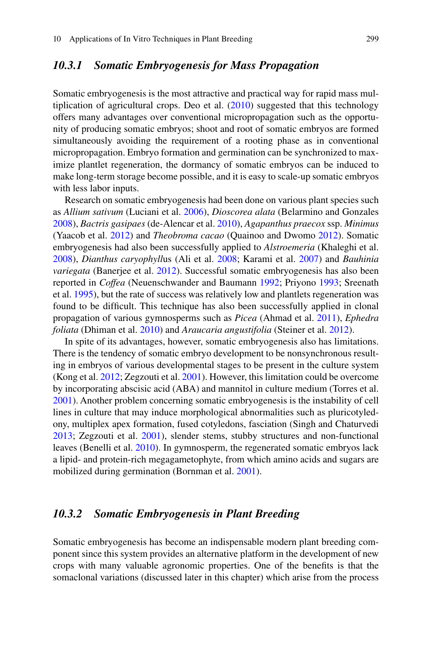# *10.3.1 Somatic Embryogenesis for Mass Propagation*

 Somatic embryogenesis is the most attractive and practical way for rapid mass multiplication of agricultural crops. Deo et al.  $(2010)$  suggested that this technology offers many advantages over conventional micropropagation such as the opportunity of producing somatic embryos; shoot and root of somatic embryos are formed simultaneously avoiding the requirement of a rooting phase as in conventional micropropagation. Embryo formation and germination can be synchronized to maximize plantlet regeneration, the dormancy of somatic embryos can be induced to make long-term storage become possible, and it is easy to scale-up somatic embryos with less labor inputs.

 Research on somatic embryogenesis had been done on various plant species such as *Allium sativum* (Luciani et al. [2006](#page-30-0) ), *Dioscorea alata* (Belarmino and Gonzales [2008 \)](#page-25-0), *Bactris gasipaes* (de-Alencar et al. [2010](#page-27-0) ), *Agapanthus praecox* ssp. *Minimus* (Yaacob et al. [2012](#page-31-0)) and *Theobroma cacao* (Quainoo and Dwomo 2012). Somatic embryogenesis had also been successfully applied to *Alstroemeria* (Khaleghi et al. [2008 \)](#page-29-0), *Dianthus caryophyll* us (Ali et al. [2008](#page-24-0) ; Karami et al. [2007](#page-28-0) ) and *Bauhinia variegata* (Banerjee et al. 2012). Successful somatic embryogenesis has also been reported in *Coffea* (Neuenschwander and Baumann [1992](#page-31-0); Priyono 1993; Sreenath et al. [1995](#page-33-0)), but the rate of success was relatively low and plantlets regeneration was found to be difficult. This technique has also been successfully applied in clonal propagation of various gymnosperms such as *Picea* (Ahmad et al. [2011 \)](#page-24-0), *Ephedra foliata* (Dhiman et al. [2010](#page-27-0)) and *Araucaria angustifolia* (Steiner et al. [2012](#page-33-0)).

 In spite of its advantages, however, somatic embryogenesis also has limitations. There is the tendency of somatic embryo development to be nonsynchronous resulting in embryos of various developmental stages to be present in the culture system (Kong et al. [2012](#page-29-0) ; Zegzouti et al. [2001](#page-35-0) ). However, this limitation could be overcome by incorporating abscisic acid (ABA) and mannitol in culture medium (Torres et al. [2001 \)](#page-34-0). Another problem concerning somatic embryogenesis is the instability of cell lines in culture that may induce morphological abnormalities such as pluricotyledony, multiplex apex formation, fused cotyledons, fasciation (Singh and Chaturvedi 2013; Zegzouti et al. [2001](#page-35-0)), slender stems, stubby structures and non-functional leaves (Benelli et al. 2010). In gymnosperm, the regenerated somatic embryos lack a lipid- and protein-rich megagametophyte, from which amino acids and sugars are mobilized during germination (Bornman et al. 2001).

# *10.3.2 Somatic Embryogenesis in Plant Breeding*

 Somatic embryogenesis has become an indispensable modern plant breeding component since this system provides an alternative platform in the development of new crops with many valuable agronomic properties. One of the benefits is that the somaclonal variations (discussed later in this chapter) which arise from the process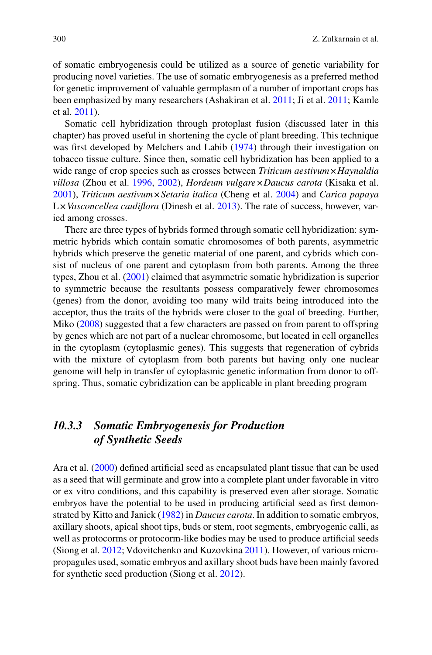of somatic embryogenesis could be utilized as a source of genetic variability for producing novel varieties. The use of somatic embryogenesis as a preferred method for genetic improvement of valuable germplasm of a number of important crops has been emphasized by many researchers (Ashakiran et al. 2011; Ji et al. 2011; Kamle et al. 2011).

 Somatic cell hybridization through protoplast fusion (discussed later in this chapter) has proved useful in shortening the cycle of plant breeding. This technique was first developed by Melchers and Labib (1974) through their investigation on tobacco tissue culture. Since then, somatic cell hybridization has been applied to a wide range of crop species such as crosses between *Triticum aestivum* × *Haynaldia villosa* (Zhou et al. 1996, [2002](#page-35-0)), *Hordeum vulgare* × *Daucus carota* (Kisaka et al. [2001 \)](#page-29-0), *Triticum aestivum* × *Setaria italica* (Cheng et al. [2004 \)](#page-26-0) and *Carica papaya* L × *Vasconcellea cauliflora* (Dinesh et al. 2013). The rate of success, however, varied among crosses.

There are three types of hybrids formed through somatic cell hybridization: symmetric hybrids which contain somatic chromosomes of both parents, asymmetric hybrids which preserve the genetic material of one parent, and cybrids which consist of nucleus of one parent and cytoplasm from both parents. Among the three types, Zhou et al. (2001) claimed that asymmetric somatic hybridization is superior to symmetric because the resultants possess comparatively fewer chromosomes (genes) from the donor, avoiding too many wild traits being introduced into the acceptor, thus the traits of the hybrids were closer to the goal of breeding. Further, Miko  $(2008)$  suggested that a few characters are passed on from parent to offspring by genes which are not part of a nuclear chromosome , but located in cell organelles in the cytoplasm (cytoplasmic genes). This suggests that regeneration of cybrids with the mixture of cytoplasm from both parents but having only one nuclear genome will help in transfer of cytoplasmic genetic information from donor to offspring. Thus, somatic cybridization can be applicable in plant breeding program

# *10.3.3 Somatic Embryogenesis for Production of Synthetic Seeds*

Ara et al.  $(2000)$  defined artificial seed as encapsulated plant tissue that can be used as a seed that will germinate and grow into a complete plant under favorable in vitro or ex vitro conditions, and this capability is preserved even after storage. Somatic embryos have the potential to be used in producing artificial seed as first demonstrated by Kitto and Janick (1982) in *Daucus carota*. In addition to somatic embryos, axillary shoots, apical shoot tips , buds or stem, root segments, embryogenic calli, as well as protocorms or protocorm-like bodies may be used to produce artificial seeds (Siong et al. [2012 ;](#page-33-0) Vdovitchenko and Kuzovkina [2011 \)](#page-34-0). However, of various micropropagules used, somatic embryos and axillary shoot buds have been mainly favored for synthetic seed production (Siong et al. 2012).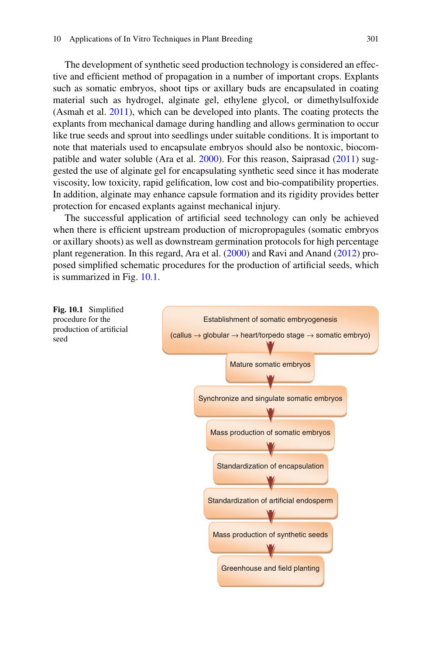The development of synthetic seed production technology is considered an effective and efficient method of propagation in a number of important crops. Explants such as somatic embryos, shoot tips or axillary buds are encapsulated in coating material such as hydrogel, alginate gel, ethylene glycol, or dimethylsulfoxide (Asmah et al. [2011](#page-25-0) ), which can be developed into plants. The coating protects the explants from mechanical damage during handling and allows germination to occur like true seeds and sprout into seedlings under suitable conditions. It is important to note that materials used to encapsulate embryos should also be nontoxic, biocom-patible and water soluble (Ara et al. [2000](#page-24-0)). For this reason, Saiprasad (2011) suggested the use of alginate gel for encapsulating synthetic seed since it has moderate viscosity, low toxicity, rapid gelification, low cost and bio-compatibility properties. In addition, alginate may enhance capsule formation and its rigidity provides better protection for encased explants against mechanical injury.

The successful application of artificial seed technology can only be achieved when there is efficient upstream production of micropropagules (somatic embryos or axillary shoots) as well as downstream germination protocols for high percentage plant regeneration. In this regard, Ara et al.  $(2000)$  and Ravi and Anand  $(2012)$  proposed simplified schematic procedures for the production of artificial seeds, which is summarized in Fig. 10.1.

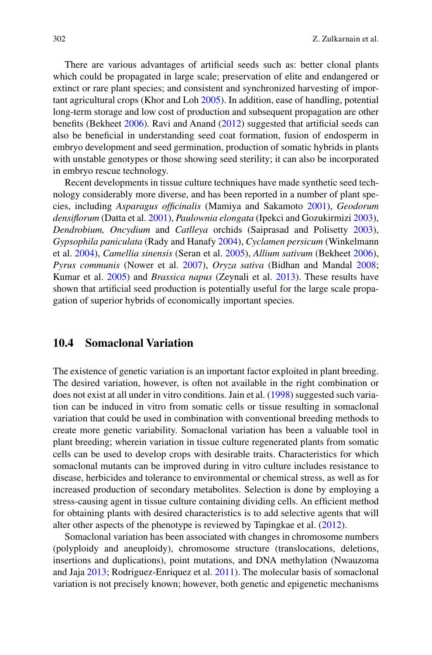There are various advantages of artificial seeds such as: better clonal plants which could be propagated in large scale; preservation of elite and endangered or extinct or rare plant species; and consistent and synchronized harvesting of important agricultural crops (Khor and Loh 2005). In addition, ease of handling, potential long-term storage and low cost of production and subsequent propagation are other benefits (Bekheet  $2006$ ). Ravi and Anand ( $2012$ ) suggested that artificial seeds can also be beneficial in understanding seed coat formation, fusion of endosperm in embryo development and seed germination, production of somatic hybrids in plants with unstable genotypes or those showing seed sterility; it can also be incorporated in embryo rescue technology.

 Recent developments in tissue culture techniques have made synthetic seed technology considerably more diverse, and has been reported in a number of plant species, including *Asparagus officinalis* (Mamiya and Sakamoto 2001), *Geodorum* densiflorum (Datta et al. [2001](#page-26-0)), *Paulownia elongata* (Ipekci and Gozukirmizi 2003), *Dendrobium, Oncydium* and *Catlleya* orchids (Saiprasad and Polisetty 2003), *Gypsophila paniculata* (Rady and Hanafy [2004](#page-32-0) ), *Cyclamen persicum* (Winkelmann et al. [2004](#page-34-0) ), *Camellia sinensis* (Seran et al. [2005](#page-32-0) ), *Allium sativum* (Bekheet [2006 \)](#page-25-0), *Pyrus communis* (Nower et al. [2007](#page-31-0)), *Oryza sativa* (Bidhan and Mandal 2008; Kumar et al. 2005) and *Brassica napus* (Zeynali et al. 2013). These results have shown that artificial seed production is potentially useful for the large scale propagation of superior hybrids of economically important species.

# **10.4 Somaclonal Variation**

 The existence of genetic variation is an important factor exploited in plant breeding . The desired variation, however, is often not available in the right combination or does not exist at all under in vitro conditions. Jain et al. [\( 1998](#page-28-0) ) suggested such variation can be induced in vitro from somatic cells or tissue resulting in somaclonal variation that could be used in combination with conventional breeding methods to create more genetic variability. Somaclonal variation has been a valuable tool in plant breeding; wherein variation in tissue culture regenerated plants from somatic cells can be used to develop crops with desirable traits. Characteristics for which somaclonal mutants can be improved during in vitro culture includes resistance to disease, herbicides and tolerance to environmental or chemical stress, as well as for increased production of secondary metabolites. Selection is done by employing a stress-causing agent in tissue culture containing dividing cells. An efficient method for obtaining plants with desired characteristics is to add selective agents that will alter other aspects of the phenotype is reviewed by Tapingkae et al. (2012).

 Somaclonal variation has been associated with changes in chromosome numbers (polyploidy and aneuploidy), chromosome structure (translocations, deletions, insertions and duplications), point mutations, and DNA methylation (Nwauzoma and Jaja 2013; Rodriguez-Enriquez et al. 2011). The molecular basis of somaclonal variation is not precisely known; however, both genetic and epigenetic mechanisms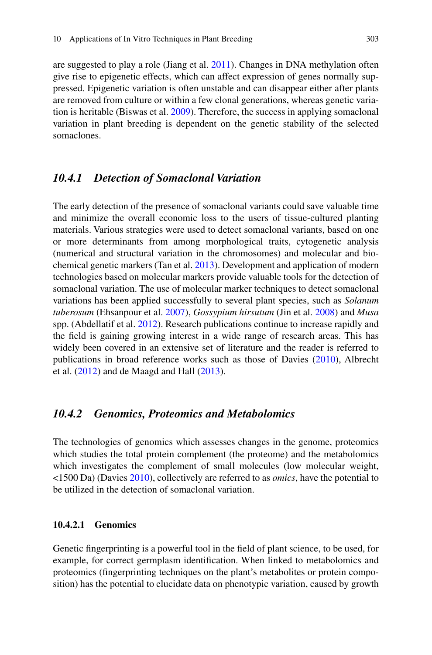are suggested to play a role (Jiang et al. [2011](#page-28-0) ). Changes in DNA methylation often give rise to epigenetic effects, which can affect expression of genes normally suppressed. Epigenetic variation is often unstable and can disappear either after plants are removed from culture or within a few clonal generations, whereas genetic variation is heritable (Biswas et al. [2009 \)](#page-25-0). Therefore, the success in applying somaclonal variation in plant breeding is dependent on the genetic stability of the selected somaclones.

### *10.4.1 Detection of Somaclonal Variation*

 The early detection of the presence of somaclonal variants could save valuable time and minimize the overall economic loss to the users of tissue-cultured planting materials. Various strategies were used to detect somaclonal variants, based on one or more determinants from among morphological traits, cytogenetic analysis (numerical and structural variation in the chromosomes) and molecular and biochemical genetic markers (Tan et al. [2013](#page-33-0) ). Development and application of modern technologies based on molecular marker s provide valuable tools for the detection of somaclonal variation. The use of molecular marker techniques to detect somaclonal variations has been applied successfully to several plant species, such as *Solanum tuberosum* (Ehsanpour et al. [2007](#page-27-0) ), *Gossypium hirsutum* (Jin et al. [2008 \)](#page-28-0) and *Musa* spp. (Abdellatif et al. [2012](#page-24-0)). Research publications continue to increase rapidly and the field is gaining growing interest in a wide range of research areas. This has widely been covered in an extensive set of literature and the reader is referred to publications in broad reference works such as those of Davies  $(2010)$ , Albrecht et al.  $(2012)$  and de Maagd and Hall  $(2013)$ .

### *10.4.2 Genomics , Proteomics and Metabolomics*

The technologies of genomics which assesses changes in the genome, proteomics which studies the total protein complement (the proteome) and the metabolomics which investigates the complement of small molecules (low molecular weight, <1500 Da) (Davies [2010](#page-26-0) ), collectively are referred to as *omics* , have the potential to be utilized in the detection of somaclonal variation.

### **10.4.2.1 Genomics**

Genetic fingerprinting is a powerful tool in the field of plant science, to be used, for example, for correct germplasm identification. When linked to metabolomics and proteomics (fingerprinting techniques on the plant's metabolites or protein composition) has the potential to elucidate data on phenotypic variation, caused by growth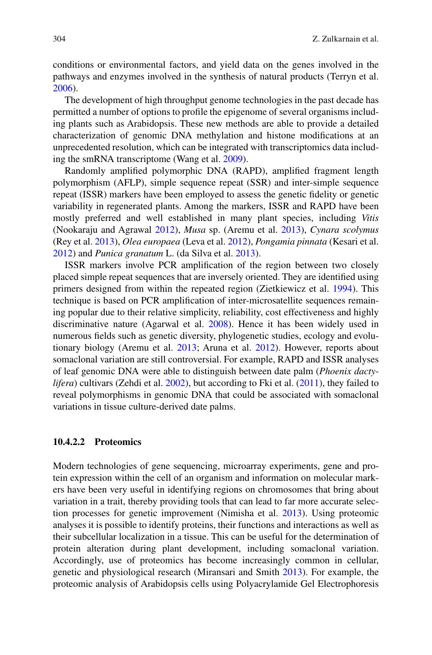conditions or environmental factors, and yield data on the genes involved in the pathways and enzymes involved in the synthesis of natural products (Terryn et al. 2006).

 The development of high throughput genome technologies in the past decade has permitted a number of options to profile the epigenome of several organisms including plants such as Arabidopsis. These new methods are able to provide a detailed characterization of genomic DNA methylation and histone modifications at an unprecedented resolution, which can be integrated with transcriptomics data includ-ing the smRNA transcriptome (Wang et al. [2009](#page-34-0)).

Randomly amplified polymorphic DNA (RAPD), amplified fragment length polymorphism (AFLP), simple sequence repeat (SSR) and inter-simple sequence repeat (ISSR) markers have been employed to assess the genetic fidelity or genetic variability in regenerated plants. Among the markers, ISSR and RAPD have been mostly preferred and well established in many plant species, including *Vitis* (Nookaraju and Agrawal [2012 \)](#page-31-0), *Musa* sp. (Aremu et al. [2013](#page-24-0) ), *Cynara scolymus* (Rey et al. [2013 \)](#page-32-0), *Olea europaea* (Leva et al. [2012 \)](#page-29-0), *Pongamia pinnata* (Kesari et al. 2012) and *Punica granatum* L. (da Silva et al. 2013).

ISSR markers involve PCR amplification of the region between two closely placed simple repeat sequences that are inversely oriented. They are identified using primers designed from within the repeated region (Zietkiewicz et al. [1994 \)](#page-35-0). This technique is based on PCR amplification of inter-microsatellite sequences remaining popular due to their relative simplicity, reliability, cost effectiveness and highly discriminative nature (Agarwal et al. [2008](#page-24-0)). Hence it has been widely used in numerous fields such as genetic diversity, phylogenetic studies, ecology and evolutionary biology (Aremu et al.  $2013$ ; Aruna et al.  $2012$ ). However, reports about somaclonal variation are still controversial. For example, RAPD and ISSR analyses of leaf genomic DNA were able to distinguish between date palm ( *Phoenix dactylifera*) cultivars (Zehdi et al. [2002](#page-35-0)), but according to Fki et al. (2011), they failed to reveal polymorphisms in genomic DNA that could be associated with somaclonal variations in tissue culture-derived date palms.

#### **10.4.2.2 Proteomics**

 Modern technologies of gene sequencing, microarray experiments, gene and protein expression within the cell of an organism and information on molecular markers have been very useful in identifying regions on chromosomes that bring about variation in a trait, thereby providing tools that can lead to far more accurate selec-tion processes for genetic improvement (Nimisha et al. [2013](#page-31-0)). Using proteomic analyses it is possible to identify proteins, their functions and interactions as well as their subcellular localization in a tissue. This can be useful for the determination of protein alteration during plant development, including somaclonal variation. Accordingly, use of proteomics has become increasingly common in cellular, genetic and physiological research (Miransari and Smith 2013). For example, the proteomic analysis of Arabidopsis cells using Polyacrylamide Gel Electrophoresis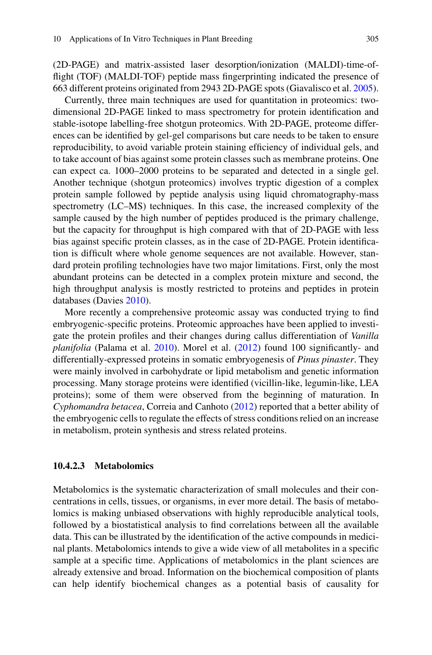(2D-PAGE) and matrix-assisted laser desorption/ionization (MALDI)-time-offlight (TOF) (MALDI-TOF) peptide mass fingerprinting indicated the presence of 663 different proteins originated from 2943 2D-PAGE spots (Giavalisco et al. [2005 \)](#page-27-0).

 Currently, three main techniques are used for quantitation in proteomics : twodimensional 2D-PAGE linked to mass spectrometry for protein identification and stable-isotope labelling-free shotgun proteomics. With 2D-PAGE, proteome differences can be identified by gel-gel comparisons but care needs to be taken to ensure reproducibility, to avoid variable protein staining efficiency of individual gels, and to take account of bias against some protein classes such as membrane proteins. One can expect ca. 1000–2000 proteins to be separated and detected in a single gel. Another technique (shotgun proteomics) involves tryptic digestion of a complex protein sample followed by peptide analysis using liquid chromatography-mass spectrometry (LC–MS) techniques. In this case, the increased complexity of the sample caused by the high number of peptides produced is the primary challenge, but the capacity for throughput is high compared with that of 2D-PAGE with less bias against specific protein classes, as in the case of 2D-PAGE. Protein identification is difficult where whole genome sequences are not available. However, standard protein profiling technologies have two major limitations. First, only the most abundant proteins can be detected in a complex protein mixture and second, the high throughput analysis is mostly restricted to proteins and peptides in protein databases (Davies [2010](#page-26-0)).

More recently a comprehensive proteomic assay was conducted trying to find embryogenic-specific proteins. Proteomic approaches have been applied to investigate the protein profiles and their changes during callus differentiation of *Vanilla planifolia* (Palama et al. 2010). Morel et al. (2012) found 100 significantly- and differentially-expressed proteins in somatic embryogenesis of *Pinus pinaster* . They were mainly involved in carbohydrate or lipid metabolism and genetic information processing. Many storage proteins were identified (vicillin-like, legumin-like, LEA proteins); some of them were observed from the beginning of maturation. In *Cyphomandra betacea* , Correia and Canhoto [\( 2012](#page-26-0) ) reported that a better ability of the embryogenic cells to regulate the effects of stress conditions relied on an increase in metabolism, protein synthesis and stress related proteins.

#### **10.4.2.3 Metabolomics**

 Metabolomics is the systematic characterization of small molecules and their concentrations in cells, tissues, or organisms, in ever more detail. The basis of metabolomics is making unbiased observations with highly reproducible analytical tools, followed by a biostatistical analysis to find correlations between all the available data. This can be illustrated by the identification of the active compounds in medicinal plants. Metabolomics intends to give a wide view of all metabolites in a specific sample at a specific time. Applications of metabolomics in the plant sciences are already extensive and broad. Information on the biochemical composition of plants can help identify biochemical changes as a potential basis of causality for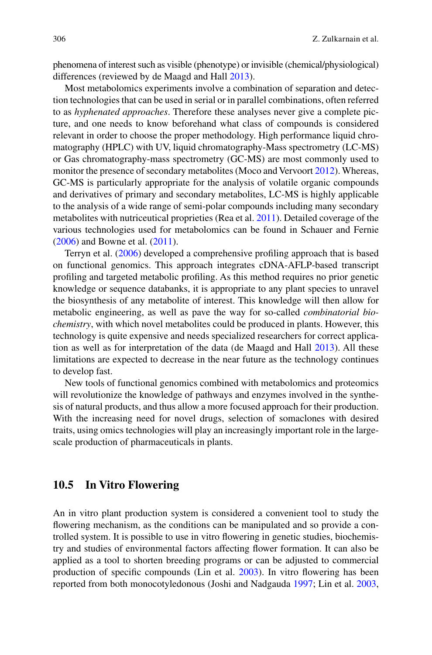phenomena of interest such as visible ( phenotype ) or invisible (chemical/physiological) differences (reviewed by de Maagd and Hall 2013).

 Most metabolomics experiments involve a combination of separation and detection technologies that can be used in serial or in parallel combinations, often referred to as *hyphenated approaches* . Therefore these analyses never give a complete picture, and one needs to know beforehand what class of compounds is considered relevant in order to choose the proper methodology. High performance liquid chromatography (HPLC) with UV, liquid chromatography-Mass spectrometry (LC-MS) or Gas chromatography-mass spectrometry (GC-MS) are most commonly used to monitor the presence of secondary metabolites (Moco and Vervoort [2012 \)](#page-30-0). Whereas, GC-MS is particularly appropriate for the analysis of volatile organic compounds and derivatives of primary and secondary metabolites, LC-MS is highly applicable to the analysis of a wide range of semi-polar compounds including many secondary metabolites with nutriceutical proprieties (Rea et al. [2011](#page-32-0) ). Detailed coverage of the various technologies used for metabolomics can be found in Schauer and Fernie  $(2006)$  and Bowne et al.  $(2011)$ .

Terryn et al. (2006) developed a comprehensive profiling approach that is based on functional genomics . This approach integrates cDNA-AFLP-based transcript profiling and targeted metabolic profiling. As this method requires no prior genetic knowledge or sequence databanks, it is appropriate to any plant species to unravel the biosynthesis of any metabolite of interest. This knowledge will then allow for metabolic engineering , as well as pave the way for so-called *combinatorial biochemistry* , with which novel metabolites could be produced in plants. However, this technology is quite expensive and needs specialized researchers for correct applica-tion as well as for interpretation of the data (de Maagd and Hall [2013](#page-26-0)). All these limitations are expected to decrease in the near future as the technology continues to develop fast.

 New tools of functional genomics combined with metabolomics and proteomics will revolutionize the knowledge of pathways and enzymes involved in the synthesis of natural products, and thus allow a more focused approach for their production. With the increasing need for novel drugs, selection of somaclones with desired traits, using omics technologies will play an increasingly important role in the largescale production of pharmaceuticals in plants.

# **10.5 In Vitro Flowering**

 An in vitro plant production system is considered a convenient tool to study the flowering mechanism, as the conditions can be manipulated and so provide a controlled system. It is possible to use in vitro flowering in genetic studies, biochemistry and studies of environmental factors affecting flower formation. It can also be applied as a tool to shorten breeding programs or can be adjusted to commercial production of specific compounds (Lin et al. [2003](#page-30-0)). In vitro flowering has been reported from both monocotyledonous (Joshi and Nadgauda [1997](#page-28-0); Lin et al. [2003](#page-30-0),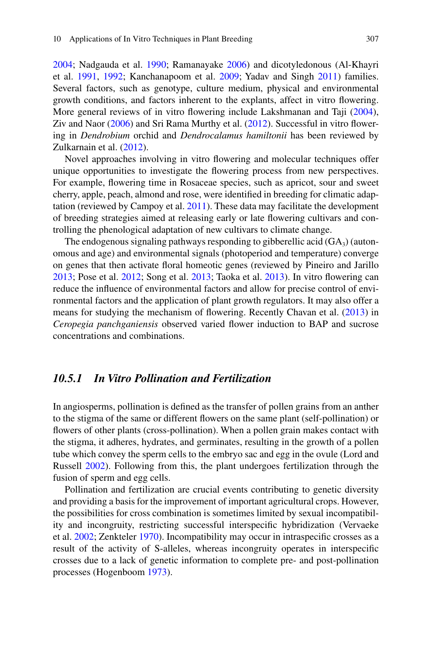2004; Nadgauda et al. [1990](#page-31-0); Ramanayake 2006) and dicotyledonous (Al-Khayri et al. 1991, [1992](#page-24-0); Kanchanapoom et al. [2009](#page-28-0); Yadav and Singh 2011) families. Several factors, such as genotype, culture medium, physical and environmental growth conditions, and factors inherent to the explants, affect in vitro flowering. More general reviews of in vitro flowering include Lakshmanan and Taji  $(2004)$ , Ziv and Naor  $(2006)$  and Sri Rama Murthy et al.  $(2012)$ . Successful in vitro flowering in *Dendrobium* orchid and *Dendrocalamus hamiltonii* has been reviewed by Zulkarnain et al. (2012).

Novel approaches involving in vitro flowering and molecular techniques offer unique opportunities to investigate the flowering process from new perspectives. For example, flowering time in Rosaceae species, such as apricot, sour and sweet cherry, apple, peach, almond and rose, were identified in breeding for climatic adaptation (reviewed by Campoy et al. [2011](#page-25-0) ). These data may facilitate the development of breeding strategies aimed at releasing early or late flowering cultivars and controlling the phenological adaptation of new cultivars to climate change.

The endogenous signaling pathways responding to gibberellic acid  $(GA<sub>3</sub>)$  (autonomous and age) and environmental signals (photoperiod and temperature) converge on genes that then activate floral homeotic genes (reviewed by Pineiro and Jarillo  $2013$ ; Pose et al.  $2012$ ; Song et al.  $2013$ ; Taoka et al.  $2013$ ). In vitro flowering can reduce the influence of environmental factors and allow for precise control of environmental factors and the application of plant growth regulators. It may also offer a means for studying the mechanism of flowering. Recently Chavan et al. (2013) in *Ceropegia panchganiensis* observed varied flower induction to BAP and sucrose concentrations and combinations.

# *10.5.1 In Vitro Pollination and Fertilization*

In angiosperms, pollination is defined as the transfer of pollen grains from an anther to the stigma of the same or different flowers on the same plant (self-pollination) or flowers of other plants (cross-pollination). When a pollen grain makes contact with the stigma, it adheres, hydrates, and germinates, resulting in the growth of a pollen tube which convey the sperm cells to the embryo sac and egg in the ovule (Lord and Russell 2002). Following from this, the plant undergoes fertilization through the fusion of sperm and egg cells.

 Pollination and fertilization are crucial events contributing to genetic diversity and providing a basis for the improvement of important agricultural crops. However, the possibilities for cross combination is sometimes limited by sexual incompatibility and incongruity, restricting successful interspecific hybridization (Vervaeke et al. 2002; Zenkteler [1970](#page-35-0)). Incompatibility may occur in intraspecific crosses as a result of the activity of S-alleles, whereas incongruity operates in interspecific crosses due to a lack of genetic information to complete pre- and post-pollination processes (Hogenboom 1973).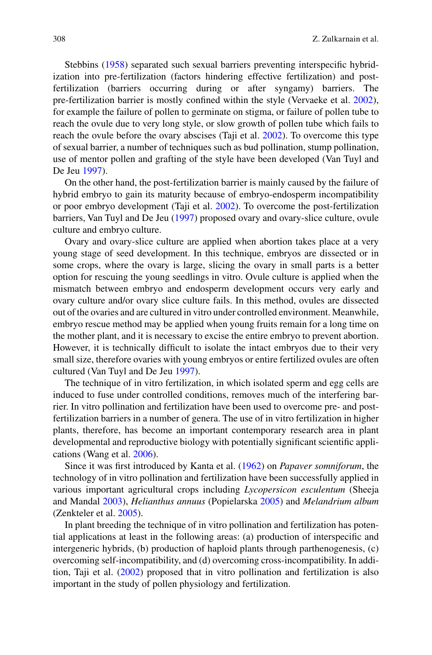Stebbins (1958) separated such sexual barriers preventing interspecific hybridization into pre-fertilization (factors hindering effective fertilization) and postfertilization (barriers occurring during or after syngamy) barriers. The pre-fertilization barrier is mostly confined within the style (Vervaeke et al. 2002), for example the failure of pollen to germinate on stigma, or failure of pollen tube to reach the ovule due to very long style, or slow growth of pollen tube which fails to reach the ovule before the ovary abscises (Taji et al. [2002](#page-33-0)). To overcome this type of sexual barrier, a number of techniques such as bud pollination, stump pollination, use of mentor pollen and grafting of the style have been developed (Van Tuyl and De Jeu 1997).

 On the other hand, the post-fertilization barrier is mainly caused by the failure of hybrid embryo to gain its maturity because of embryo-endosperm incompatibility or poor embryo development (Taji et al. [2002](#page-33-0) ). To overcome the post-fertilization barriers, Van Tuyl and De Jeu (1997) proposed ovary and ovary-slice culture, ovule culture and embryo culture.

 Ovary and ovary-slice culture are applied when abortion takes place at a very young stage of seed development. In this technique, embryos are dissected or in some crops, where the ovary is large, slicing the ovary in small parts is a better option for rescuing the young seedlings in vitro. Ovule culture is applied when the mismatch between embryo and endosperm development occurs very early and ovary culture and/or ovary slice culture fails. In this method, ovules are dissected out of the ovaries and are cultured in vitro under controlled environment. Meanwhile, embryo rescue method may be applied when young fruits remain for a long time on the mother plant, and it is necessary to excise the entire embryo to prevent abortion. However, it is technically difficult to isolate the intact embryos due to their very small size, therefore ovaries with young embryos or entire fertilized ovules are often cultured (Van Tuyl and De Jeu [1997](#page-34-0)).

The technique of in vitro fertilization, in which isolated sperm and egg cells are induced to fuse under controlled conditions, removes much of the interfering barrier. In vitro pollination and fertilization have been used to overcome pre- and postfertilization barriers in a number of genera. The use of in vitro fertilization in higher plants, therefore, has become an important contemporary research area in plant developmental and reproductive biology with potentially significant scientific applications (Wang et al. 2006).

Since it was first introduced by Kanta et al. (1962) on *Papaver somniforum*, the technology of in vitro pollination and fertilization have been successfully applied in various important agricultural crops including *Lycopersicon esculentum* (Sheeja and Mandal [2003 \)](#page-32-0), *Helianthus annuus* (Popielarska [2005 \)](#page-31-0) and *Melandrium album* (Zenkteler et al. 2005).

 In plant breeding the technique of in vitro pollination and fertilization has potential applications at least in the following areas: (a) production of interspecific and intergeneric hybrids, (b) production of haploid plants through parthenogenesis , (c) overcoming self-incompatibility, and (d) overcoming cross-incompatibility. In addition, Taji et al.  $(2002)$  proposed that in vitro pollination and fertilization is also important in the study of pollen physiology and fertilization.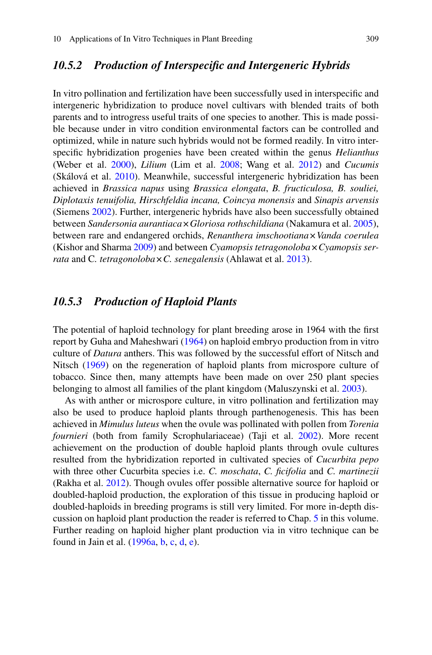# 10.5.2 Production of Interspecific and Intergeneric Hybrids

In vitro pollination and fertilization have been successfully used in interspecific and intergeneric hybridization to produce novel cultivars with blended traits of both parents and to introgress useful traits of one species to another. This is made possible because under in vitro condition environmental factors can be controlled and optimized, while in nature such hybrids would not be formed readily. In vitro interspecific hybridization progenies have been created within the genus *Helianthus* (Weber et al. [2000](#page-34-0)), *Lilium* (Lim et al. 2008; Wang et al. 2012) and *Cucumis* (Skálová et al. 2010). Meanwhile, successful intergeneric hybridization has been achieved in *Brassica napus* using *Brassica elongata* , *B. fructiculosa, B. souliei, Diplotaxis tenuifolia, Hirschfeldia incana, Coincya monensis* and *Sinapis arvensis* (Siemens 2002). Further, intergeneric hybrids have also been successfully obtained between *Sandersonia aurantiaca* × *Gloriosa rothschildiana* (Nakamura et al. [2005 \)](#page-31-0), between rare and endangered orchids, *Renanthera imschootiana* × *Vanda coerulea* (Kishor and Sharma [2009 \)](#page-29-0) and between *Cyamopsis tetragonoloba* × *Cyamopsis serrata* and *C. tetragonoloba*  $\times$  *C. senegalensis* (Ahlawat et al. 2013).

# *10.5.3 Production of Haploid Plants*

The potential of haploid technology for plant breeding arose in 1964 with the first report by Guha and Maheshwari [\( 1964](#page-27-0) ) on haploid embryo production from in vitro culture of *Datura* anthers. This was followed by the successful effort of Nitsch and Nitsch (1969) on the regeneration of haploid plants from microspore culture of tobacco. Since then, many attempts have been made on over 250 plant species belonging to almost all families of the plant kingdom (Maluszynski et al. [2003 \)](#page-30-0).

As with anther or microspore culture, in vitro pollination and fertilization may also be used to produce haploid plants through parthenogenesis . This has been achieved in *Mimulus luteus* when the ovule was pollinated with pollen from *Torenia fournieri* (both from family Scrophulariaceae) (Taji et al. 2002). More recent achievement on the production of double haploid plants through ovule cultures resulted from the hybridization reported in cultivated species of *Cucurbita pepo* with three other Cucurbita species i.e. *C. moschata*, *C. ficifolia* and *C. martinezii* (Rakha et al. 2012). Though ovules offer possible alternative source for haploid or doubled-haploid production, the exploration of this tissue in producing haploid or doubled-haploids in breeding programs is still very limited. For more in-depth discussion on haploid plant production the reader is referred to Chap. [5](http://dx.doi.org/10.1007/978-3-319-22521-0_5) in this volume. Further reading on haploid higher plant production via in vitro technique can be found in Jain [e](#page-28-0)t al.  $(1996a, b, c, d, e)$  $(1996a, b, c, d, e)$  $(1996a, b, c, d, e)$ .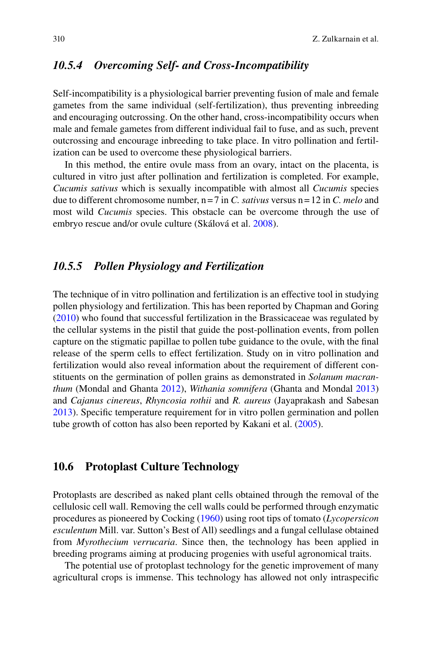# *10.5.4 Overcoming Self- and Cross-Incompatibility*

 Self-incompatibility is a physiological barrier preventing fusion of male and female gametes from the same individual (self-fertilization), thus preventing inbreeding and encouraging outcrossing. On the other hand, cross-incompatibility occurs when male and female gametes from different individual fail to fuse, and as such, prevent outcrossing and encourage inbreeding to take place. In vitro pollination and fertilization can be used to overcome these physiological barriers.

 In this method, the entire ovule mass from an ovary, intact on the placenta, is cultured in vitro just after pollination and fertilization is completed. For example, *Cucumis sativus* which is sexually incompatible with almost all *Cucumis* species due to different chromosome number,  $n = 7$  in *C. sativus* versus  $n = 12$  in *C. melo* and most wild *Cucumis* species. This obstacle can be overcome through the use of embryo rescue and/or ovule culture (Skálová et al. 2008).

# *10.5.5 Pollen Physiology and Fertilization*

 The technique of in vitro pollination and fertilization is an effective tool in studying pollen physiology and fertilization. This has been reported by Chapman and Goring  $(2010)$  who found that successful fertilization in the Brassicaceae was regulated by the cellular systems in the pistil that guide the post-pollination events, from pollen capture on the stigmatic papillae to pollen tube guidance to the ovule, with the final release of the sperm cells to effect fertilization. Study on in vitro pollination and fertilization would also reveal information about the requirement of different constituents on the germination of pollen grains as demonstrated in *Solanum macranthum* (Mondal and Ghanta [2012](#page-30-0)), *Withania somnifera* (Ghanta and Mondal [2013](#page-27-0)) and *Cajanus cinereus* , *Rhyncosia rothii* and *R. aureus* (Jayaprakash and Sabesan [2013 \)](#page-28-0). Specifi c temperature requirement for in vitro pollen germination and pollen tube growth of cotton has also been reported by Kakani et al. (2005).

# **10.6 Protoplast Culture Technology**

 Protoplasts are described as naked plant cells obtained through the removal of the cellulosic cell wall. Removing the cell walls could be performed through enzymatic procedures as pioneered by Cocking ( [1960 \)](#page-26-0) using root tips of tomato ( *Lycopersicon esculentum* Mill. var. Sutton's Best of All) seedlings and a fungal cellulase obtained from *Myrothecium verrucaria* . Since then, the technology has been applied in breeding programs aiming at producing progenies with useful agronomical traits.

 The potential use of protoplast technology for the genetic improvement of many agricultural crops is immense. This technology has allowed not only intraspecific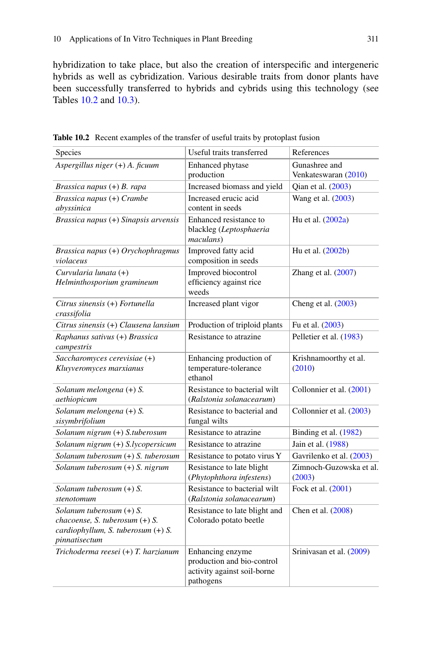<span id="page-18-0"></span>hybridization to take place, but also the creation of interspecific and intergeneric hybrids as well as cybridization. Various desirable traits from donor plants have been successfully transferred to hybrids and cybrids using this technology (see Tables 10.2 and [10.3 \)](#page-19-0).

| Species                                                                                                             | Useful traits transferred                                                                  | References                            |
|---------------------------------------------------------------------------------------------------------------------|--------------------------------------------------------------------------------------------|---------------------------------------|
| Aspergillus niger (+) A. ficuum                                                                                     | Enhanced phytase<br>production                                                             | Gunashree and<br>Venkateswaran (2010) |
| Brassica napus (+) B. rapa                                                                                          | Increased biomass and yield                                                                | Qian et al. (2003)                    |
| Brassica napus (+) Crambe<br>abyssinica                                                                             | Increased erucic acid<br>content in seeds                                                  | Wang et al. (2003)                    |
| Brassica napus $(+)$ Sinapsis arvensis                                                                              | Enhanced resistance to<br>blackleg (Leptosphaeria<br>maculans)                             | Hu et al. (2002a)                     |
| Brassica napus (+) Orychophragmus<br>violaceus                                                                      | Improved fatty acid<br>composition in seeds                                                | Hu et al. (2002b)                     |
| Curvularia lunata (+)<br>Helminthosporium gramineum                                                                 | Improved biocontrol<br>efficiency against rice<br>weeds                                    | Zhang et al. $(2007)$                 |
| Citrus sinensis (+) Fortunella<br>crassifolia                                                                       | Increased plant vigor                                                                      | Cheng et al. (2003)                   |
| Citrus sinensis (+) Clausena lansium                                                                                | Production of triploid plants                                                              | Fu et al. (2003)                      |
| Raphanus sativus (+) Brassica<br>campestris                                                                         | Resistance to atrazine                                                                     | Pelletier et al. (1983)               |
| Saccharomyces cerevisiae (+)<br>Kluyveromyces marxianus                                                             | Enhancing production of<br>temperature-tolerance<br>ethanol                                | Krishnamoorthy et al.<br>(2010)       |
| Solanum melongena (+) S.<br>aethiopicum                                                                             | Resistance to bacterial wilt<br>(Ralstonia solanacearum)                                   | Collonnier et al. (2001)              |
| Solanum melongena (+) S.<br>sisymbrifolium                                                                          | Resistance to bacterial and<br>fungal wilts                                                | Collonnier et al. (2003)              |
| Solanum nigrum (+) S.tuberosum                                                                                      | Resistance to atrazine                                                                     | Binding et al. (1982)                 |
| Solanum nigrum (+) S.lycopersicum                                                                                   | Resistance to atrazine                                                                     | Jain et al. (1988)                    |
| Solanum tuberosum (+) S. tuberosum                                                                                  | Resistance to potato virus Y                                                               | Gavrilenko et al. (2003)              |
| Solanum tuberosum (+) S. nigrum                                                                                     | Resistance to late blight<br>(Phytophthora infestens)                                      | Zimnoch-Guzowska et al.<br>(2003)     |
| Solanum tuberosum (+) S.<br>stenotomum                                                                              | Resistance to bacterial wilt<br>(Ralstonia solanacearum)                                   | Fock et al. (2001)                    |
| Solanum tuberosum (+) S.<br>chacoense, S. tuberosum $(+)$ S.<br>cardiophyllum, S. tuberosum (+) S.<br>pinnatisectum | Resistance to late blight and<br>Colorado potato beetle                                    | Chen et al. (2008)                    |
| Trichoderma reesei (+) T. harzianum                                                                                 | Enhancing enzyme<br>production and bio-control<br>activity against soil-borne<br>pathogens | Srinivasan et al. (2009)              |

 **Table 10.2** Recent examples of the transfer of useful traits by protoplast fusion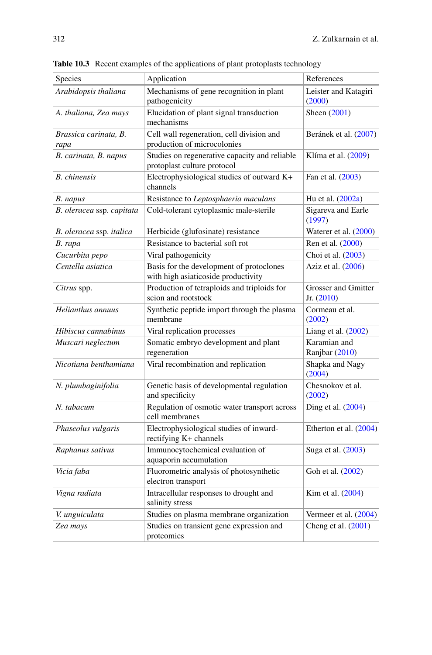| <b>Species</b>                | Application                                                                     | References                          |
|-------------------------------|---------------------------------------------------------------------------------|-------------------------------------|
| Arabidopsis thaliana          | Mechanisms of gene recognition in plant<br>pathogenicity                        | Leister and Katagiri<br>(2000)      |
| A. thaliana, Zea mays         | Elucidation of plant signal transduction<br>mechanisms                          | Sheen (2001)                        |
| Brassica carinata, B.<br>rapa | Cell wall regeneration, cell division and<br>production of microcolonies        | Beránek et al. (2007)               |
| B. carinata, B. napus         | Studies on regenerative capacity and reliable<br>protoplast culture protocol    | Klíma et al. (2009)                 |
| <b>B.</b> chinensis           | Electrophysiological studies of outward K+<br>channels                          | Fan et al. (2003)                   |
| B. napus                      | Resistance to Leptosphaeria maculans                                            | Hu et al. (2002a)                   |
| B. oleracea ssp. capitata     | Cold-tolerant cytoplasmic male-sterile                                          | Sigareva and Earle<br>(1997)        |
| B. oleracea ssp. italica      | Herbicide (glufosinate) resistance                                              | Waterer et al. (2000)               |
| B. rapa                       | Resistance to bacterial soft rot                                                | Ren et al. (2000)                   |
| Cucurbita pepo                | Viral pathogenicity                                                             | Choi et al. (2003)                  |
| Centella asiatica             | Basis for the development of protoclones<br>with high asiaticoside productivity | Aziz et al. (2006)                  |
| Citrus spp.                   | Production of tetraploids and triploids for<br>scion and rootstock              | Grosser and Gmitter<br>Jr. $(2010)$ |
| Helianthus annuus             | Synthetic peptide import through the plasma<br>membrane                         | Cormeau et al.<br>(2002)            |
| Hibiscus cannabinus           | Viral replication processes                                                     | Liang et al. (2002)                 |
| Muscari neglectum             | Somatic embryo development and plant<br>regeneration                            | Karamian and<br>Ranjbar (2010)      |
| Nicotiana benthamiana         | Viral recombination and replication                                             | Shapka and Nagy<br>(2004)           |
| N. plumbaginifolia            | Genetic basis of developmental regulation<br>and specificity                    | Chesnokov et al.<br>(2002)          |
| N. tabacum                    | Regulation of osmotic water transport across<br>cell membranes                  | Ding et al. (2004)                  |
| Phaseolus vulgaris            | Electrophysiological studies of inward-<br>rectifying K+ channels               | Etherton et al. $(2004)$            |
| Raphanus sativus              | Immunocytochemical evaluation of<br>aquaporin accumulation                      | Suga et al. (2003)                  |
| Vicia faba                    | Fluorometric analysis of photosynthetic<br>electron transport                   | Goh et al. (2002)                   |
| Vigna radiata                 | Intracellular responses to drought and<br>salinity stress                       | Kim et al. (2004)                   |
| V. unguiculata                | Studies on plasma membrane organization                                         | Vermeer et al. $(2004)$             |
| Zea mays                      | Studies on transient gene expression and<br>proteomics                          | Cheng et al. $(2001)$               |

<span id="page-19-0"></span> **Table 10.3** Recent examples of the applications of plant protoplasts technology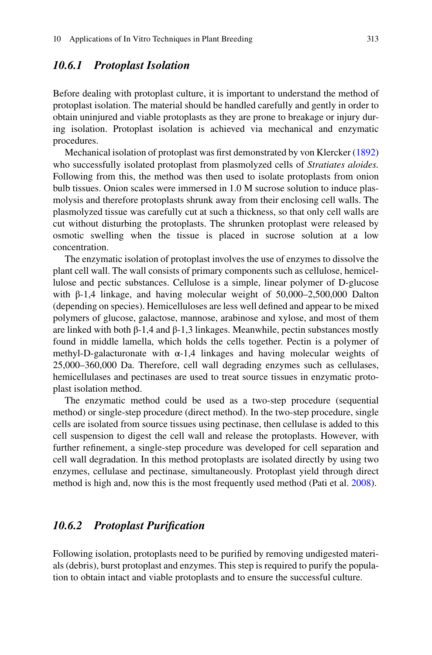# *10.6.1 Protoplast Isolation*

 Before dealing with protoplast culture , it is important to understand the method of protoplast isolation. The material should be handled carefully and gently in order to obtain uninjured and viable protoplasts as they are prone to breakage or injury during isolation. Protoplast isolation is achieved via mechanical and enzymatic procedures.

Mechanical isolation of protoplast was first demonstrated by von Klercker (1892) who successfully isolated protoplast from plasmolyzed cells of *Stratiates aloides.* Following from this, the method was then used to isolate protoplasts from onion bulb tissues. Onion scales were immersed in 1.0 M sucrose solution to induce plasmolysis and therefore protoplasts shrunk away from their enclosing cell walls. The plasmolyzed tissue was carefully cut at such a thickness, so that only cell walls are cut without disturbing the protoplasts. The shrunken protoplast were released by osmotic swelling when the tissue is placed in sucrose solution at a low concentration.

 The enzymatic isolation of protoplast involves the use of enzymes to dissolve the plant cell wall. The wall consists of primary components such as cellulose, hemicellulose and pectic substances. Cellulose is a simple, linear polymer of D-glucose with β-1,4 linkage, and having molecular weight of 50,000–2,500,000 Dalton (depending on species). Hemicelluloses are less well defined and appear to be mixed polymers of glucose, galactose, mannose, arabinose and xylose, and most of them are linked with both β-1,4 and β-1,3 linkages. Meanwhile, pectin substances mostly found in middle lamella, which holds the cells together. Pectin is a polymer of methyl-D-galacturonate with  $\alpha$ -1,4 linkages and having molecular weights of 25,000–360,000 Da. Therefore, cell wall degrading enzymes such as cellulases, hemicellulases and pectinases are used to treat source tissues in enzymatic protoplast isolation method.

 The enzymatic method could be used as a two-step procedure (sequential method) or single-step procedure (direct method). In the two-step procedure, single cells are isolated from source tissues using pectinase, then cellulase is added to this cell suspension to digest the cell wall and release the protoplasts. However, with further refinement, a single-step procedure was developed for cell separation and cell wall degradation. In this method protoplasts are isolated directly by using two enzymes, cellulase and pectinase, simultaneously. Protoplast yield through direct method is high and, now this is the most frequently used method (Pati et al. 2008).

# *10.6.2 Protoplast Purification*

Following isolation, protoplasts need to be purified by removing undigested materials (debris), burst protoplast and enzymes. This step is required to purify the population to obtain intact and viable protoplasts and to ensure the successful culture.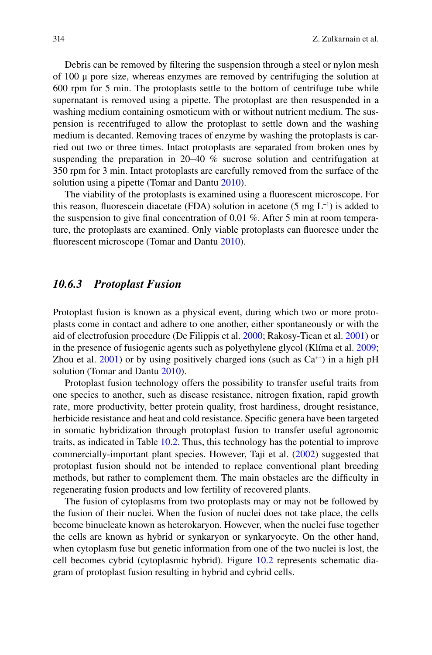Debris can be removed by filtering the suspension through a steel or nylon mesh of 100 μ pore size, whereas enzymes are removed by centrifuging the solution at 600 rpm for 5 min. The protoplasts settle to the bottom of centrifuge tube while supernatant is removed using a pipette. The protoplast are then resuspended in a washing medium containing osmoticum with or without nutrient medium. The suspension is recentrifuged to allow the protoplast to settle down and the washing medium is decanted. Removing traces of enzyme by washing the protoplasts is carried out two or three times. Intact protoplasts are separated from broken ones by suspending the preparation in 20–40 % sucrose solution and centrifugation at 350 rpm for 3 min. Intact protoplasts are carefully removed from the surface of the solution using a pipette (Tomar and Dantu 2010).

The viability of the protoplasts is examined using a fluorescent microscope. For this reason, fluorescein diacetate (FDA) solution in acetone (5 mg  $L^{-1}$ ) is added to the suspension to give final concentration of 0.01  $\%$ . After 5 min at room temperature, the protoplasts are examined. Only viable protoplasts can fluoresce under the fluorescent microscope (Tomar and Dantu [2010](#page-34-0)).

# *10.6.3 Protoplast Fusion*

 Protoplast fusion is known as a physical event, during which two or more protoplasts come in contact and adhere to one another, either spontaneously or with the aid of electrofusion procedure (De Filippis et al. [2000](#page-26-0); Rakosy-Tican et al. 2001) or in the presence of fusiogenic agents such as polyethylene glycol (Klíma et al. 2009; Zhou et al.  $2001$ ) or by using positively charged ions (such as  $Ca^{++}$ ) in a high pH solution (Tomar and Dantu [2010](#page-34-0)).

 Protoplast fusion technology offers the possibility to transfer useful traits from one species to another, such as disease resistance, nitrogen fixation, rapid growth rate, more productivity, better protein quality, frost hardiness, drought resistance, herbicide resistance and heat and cold resistance. Specific genera have been targeted in somatic hybridization through protoplast fusion to transfer useful agronomic traits, as indicated in Table [10.2 .](#page-18-0) Thus, this technology has the potential to improve commercially-important plant species. However, Taji et al. (2002) suggested that protoplast fusion should not be intended to replace conventional plant breeding methods, but rather to complement them. The main obstacles are the difficulty in regenerating fusion products and low fertility of recovered plants.

 The fusion of cytoplasms from two protoplasts may or may not be followed by the fusion of their nuclei. When the fusion of nuclei does not take place, the cells become binucleate known as heterokaryon. However, when the nuclei fuse together the cells are known as hybrid or synkaryon or synkaryocyte. On the other hand, when cytoplasm fuse but genetic information from one of the two nuclei is lost, the cell becomes cybrid (cytoplasmic hybrid). Figure [10.2](#page-22-0) represents schematic diagram of protoplast fusion resulting in hybrid and cybrid cells.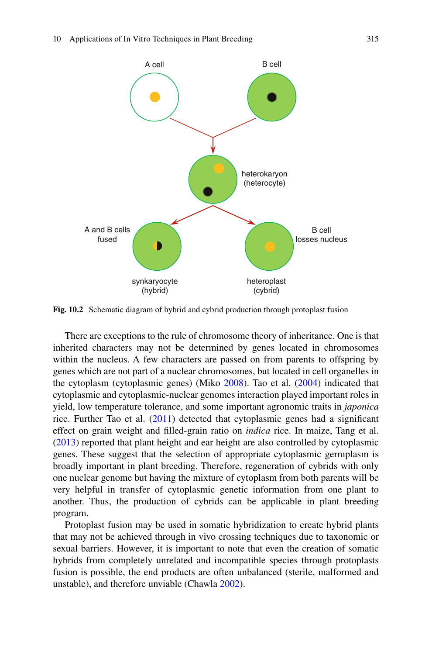<span id="page-22-0"></span>

 **Fig. 10.2** Schematic diagram of hybrid and cybrid production through protoplast fusion

 There are exceptions to the rule of chromosome theory of inheritance. One is that inherited characters may not be determined by genes located in chromosomes within the nucleus. A few characters are passed on from parents to offspring by genes which are not part of a nuclear chromosomes, but located in cell organelles in the cytoplasm (cytoplasmic genes) (Miko 2008). Tao et al. (2004) indicated that cytoplasmic and cytoplasmic-nuclear genomes interaction played important roles in yield, low temperature tolerance, and some important agronomic traits in *japonica* rice. Further Tao et al.  $(2011)$  detected that cytoplasmic genes had a significant effect on grain weight and filled-grain ratio on *indica* rice. In maize, Tang et al. (2013) reported that plant height and ear height are also controlled by cytoplasmic genes. These suggest that the selection of appropriate cytoplasmic germplasm is broadly important in plant breeding . Therefore, regeneration of cybrids with only one nuclear genome but having the mixture of cytoplasm from both parents will be very helpful in transfer of cytoplasmic genetic information from one plant to another. Thus, the production of cybrids can be applicable in plant breeding program.

 Protoplast fusion may be used in somatic hybridization to create hybrid plants that may not be achieved through in vivo crossing techniques due to taxonomic or sexual barriers. However, it is important to note that even the creation of somatic hybrids from completely unrelated and incompatible species through protoplasts fusion is possible, the end products are often unbalanced (sterile, malformed and unstable), and therefore unviable (Chawla 2002).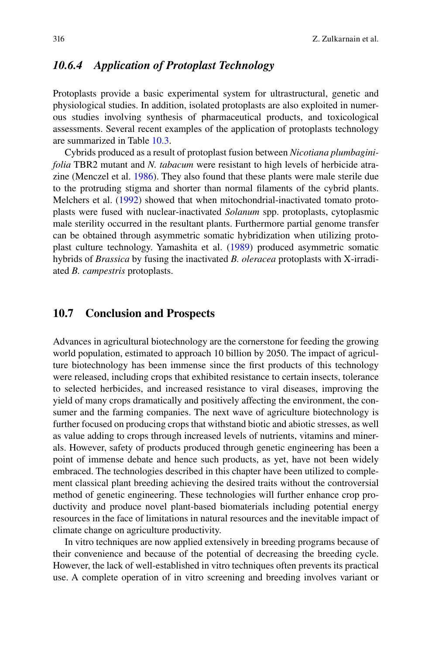# *10.6.4 Application of Protoplast Technology*

 Protoplasts provide a basic experimental system for ultrastructural, genetic and physiological studies. In addition, isolated protoplasts are also exploited in numerous studies involving synthesis of pharmaceutical products, and toxicological assessments. Several recent examples of the application of protoplasts technology are summarized in Table [10.3](#page-19-0) .

 Cybrids produced as a result of protoplast fusion between *Nicotiana plumbaginifolia* TBR2 mutant and *N. tabacum* were resistant to high levels of herbicide atrazine (Menczel et al. [1986 \)](#page-30-0). They also found that these plants were male sterile due to the protruding stigma and shorter than normal filaments of the cybrid plants. Melchers et al. (1992) showed that when mitochondrial-inactivated tomato protoplasts were fused with nuclear‐inactivated *Solanum* spp. protoplasts, cytoplasmic male sterility occurred in the resultant plants. Furthermore partial genome transfer can be obtained through asymmetric somatic hybridization when utilizing protoplast culture technology. Yamashita et al. (1989) produced asymmetric somatic hybrids of *Brassica* by fusing the inactivated *B. oleracea* protoplasts with X‐irradiated *B. campestris* protoplasts.

### **10.7 Conclusion and Prospects**

 Advances in agricultural biotechnology are the cornerstone for feeding the growing world population, estimated to approach 10 billion by 2050. The impact of agriculture biotechnology has been immense since the first products of this technology were released, including crops that exhibited resistance to certain insects, tolerance to selected herbicides, and increased resistance to viral diseases, improving the yield of many crops dramatically and positively affecting the environment, the consumer and the farming companies. The next wave of agriculture biotechnology is further focused on producing crops that withstand biotic and abiotic stresses , as well as value adding to crops through increased levels of nutrients, vitamins and minerals. However, safety of products produced through genetic engineering has been a point of immense debate and hence such products, as yet, have not been widely embraced. The technologies described in this chapter have been utilized to complement classical plant breeding achieving the desired traits without the controversial method of genetic engineering. These technologies will further enhance crop productivity and produce novel plant-based biomaterials including potential energy resources in the face of limitations in natural resources and the inevitable impact of climate change on agriculture productivity.

 In vitro techniques are now applied extensively in breeding programs because of their convenience and because of the potential of decreasing the breeding cycle . However, the lack of well-established in vitro techniques often prevents its practical use. A complete operation of in vitro screening and breeding involves variant or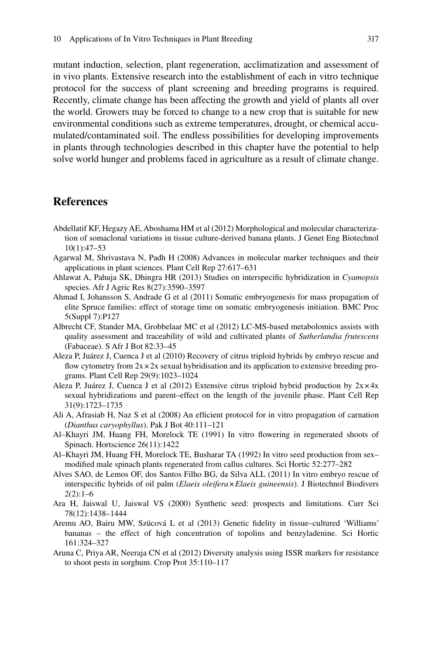<span id="page-24-0"></span>mutant induction, selection, plant regeneration, acclimatization and assessment of in vivo plants. Extensive research into the establishment of each in vitro technique protocol for the success of plant screening and breeding programs is required. Recently, climate change has been affecting the growth and yield of plants all over the world. Growers may be forced to change to a new crop that is suitable for new environmental conditions such as extreme temperatures, drought, or chemical accumulated/contaminated soil. The endless possibilities for developing improvements in plants through technologies described in this chapter have the potential to help solve world hunger and problems faced in agriculture as a result of climate change.

# **References**

- Abdellatif KF, Hegazy AE, Aboshama HM et al (2012) Morphological and molecular characterization of somaclonal variations in tissue culture-derived banana plants. J Genet Eng Biotechnol 10(1):47–53
- Agarwal M, Shrivastava N, Padh H (2008) Advances in molecular marker techniques and their applications in plant sciences. Plant Cell Rep 27:617–631
- Ahlawat A, Pahuja SK, Dhingra HR (2013) Studies on interspecifi c hybridization in *Cyamopsis* species. Afr J Agric Res 8(27):3590–3597
- Ahmad I, Johansson S, Andrade G et al (2011) Somatic embryogenesis for mass propagation of elite Spruce families: effect of storage time on somatic embryogenesis initiation. BMC Proc 5(Suppl 7):P127
- Albrecht CF, Stander MA, Grobbelaar MC et al (2012) LC-MS-based metabolomics assists with quality assessment and traceability of wild and cultivated plants of *Sutherlandia frutescens* (Fabaceae). S Afr J Bot 82:33–45
- Aleza P, Juárez J, Cuenca J et al (2010) Recovery of citrus triploid hybrids by embryo rescue and flow cytometry from  $2x \times 2x$  sexual hybridisation and its application to extensive breeding programs. Plant Cell Rep 29(9):1023–1024
- Aleza P, Juárez J, Cuenca J et al (2012) Extensive citrus triploid hybrid production by  $2x \times 4x$ sexual hybridizations and parent–effect on the length of the juvenile phase. Plant Cell Rep 31(9):1723–1735
- Ali A, Afrasiab H, Naz S et al (2008) An efficient protocol for in vitro propagation of carnation ( *Dianthus caryophyllus* ). Pak J Bot 40:111–121
- Al-Khayri JM, Huang FH, Morelock TE (1991) In vitro flowering in regenerated shoots of Spinach. Hortscience 26(11):1422
- Al–Khayri JM, Huang FH, Morelock TE, Busharar TA (1992) In vitro seed production from sex– modified male spinach plants regenerated from callus cultures. Sci Hortic 52:277–282
- Alves SAO, de Lemos OF, dos Santos Filho BG, da Silva ALL (2011) In vitro embryo rescue of interspecific hybrids of oil palm (*Elaeis oleifera* × *Elaeis guineensis*). J Biotechnol Biodivers  $2(2):1-6$
- Ara H, Jaiswal U, Jaiswal VS (2000) Synthetic seed: prospects and limitations. Curr Sci 78(12):1438–1444
- Aremu AO, Bairu MW, Szücová L et al (2013) Genetic fidelity in tissue–cultured 'Williams' bananas – the effect of high concentration of topolins and benzyladenine. Sci Hortic 161:324–327
- Aruna C, Priya AR, Neeraja CN et al (2012) Diversity analysis using ISSR markers for resistance to shoot pests in sorghum. Crop Prot 35:110–117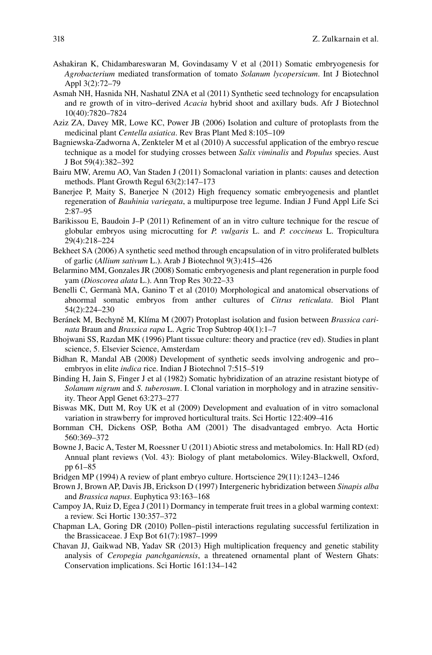- <span id="page-25-0"></span> Ashakiran K, Chidambareswaran M, Govindasamy V et al (2011) Somatic embryogenesis for *Agrobacterium* mediated transformation of tomato *Solanum lycopersicum* . Int J Biotechnol Appl 3(2):72–79
- Asmah NH, Hasnida NH, Nashatul ZNA et al (2011) Synthetic seed technology for encapsulation and re growth of in vitro–derived *Acacia* hybrid shoot and axillary buds. Afr J Biotechnol 10(40):7820–7824
- Aziz ZA, Davey MR, Lowe KC, Power JB (2006) Isolation and culture of protoplasts from the medicinal plant *Centella asiatica* . Rev Bras Plant Med 8:105–109
- Bagniewska-Zadworna A, Zenkteler M et al (2010) A successful application of the embryo rescue technique as a model for studying crosses between *Salix viminalis* and *Populus* species. Aust J Bot 59(4):382–392
- Bairu MW, Aremu AO, Van Staden J (2011) Somaclonal variation in plants: causes and detection methods. Plant Growth Regul 63(2):147–173
- Banerjee P, Maity S, Banerjee N (2012) High frequency somatic embryogenesis and plantlet regeneration of *Bauhinia variegata* , a multipurpose tree legume. Indian J Fund Appl Life Sci 2:87–95
- Barikissou E, Baudoin J–P (2011) Refinement of an in vitro culture technique for the rescue of globular embryos using microcutting for *P. vulgaris* L. and *P. coccineus* L. Tropicultura 29(4):218–224
- Bekheet SA (2006) A synthetic seed method through encapsulation of in vitro proliferated bulblets of garlic (*Allium sativum* L.). Arab J Biotechnol 9(3):415-426
- Belarmino MM, Gonzales JR (2008) Somatic embryogenesis and plant regeneration in purple food yam ( *Dioscorea alata* L.). Ann Trop Res 30:22–33
- Benelli C, Germanà MA, Ganino T et al (2010) Morphological and anatomical observations of abnormal somatic embryos from anther cultures of *Citrus reticulata*. Biol Plant 54(2):224–230
- Beránek M, Bechyně M, Klíma M (2007) Protoplast isolation and fusion between *Brassica carinata* Braun and *Brassica rapa* L. Agric Trop Subtrop 40(1):1–7
- Bhojwani SS, Razdan MK (1996) Plant tissue culture: theory and practice (rev ed). Studies in plant science, 5. Elsevier Science, Amsterdam
- Bidhan R, Mandal AB (2008) Development of synthetic seeds involving androgenic and pro– embryos in elite *indica* rice. Indian J Biotechnol 7:515–519
- Binding H, Jain S, Finger J et al (1982) Somatic hybridization of an atrazine resistant biotype of *Solanum nigrum* and *S. tuberosum*. I. Clonal variation in morphology and in atrazine sensitivity. Theor Appl Genet 63:273–277
- Biswas MK, Dutt M, Roy UK et al (2009) Development and evaluation of in vitro somaclonal variation in strawberry for improved horticultural traits. Sci Hortic 122:409–416
- Bornman CH, Dickens OSP, Botha AM (2001) The disadvantaged embryo. Acta Hortic 560:369–372
- Bowne J, Bacic A, Tester M, Roessner U (2011) Abiotic stress and metabolomics. In: Hall RD (ed) Annual plant reviews (Vol. 43): Biology of plant metabolomics. Wiley-Blackwell, Oxford, pp 61–85
- Bridgen MP (1994) A review of plant embryo culture. Hortscience 29(11):1243–1246
- Brown J, Brown AP, Davis JB, Erickson D (1997) Intergeneric hybridization between *Sinapis alba* and *Brassica napus* . Euphytica 93:163–168
- Campoy JA, Ruiz D, Egea J (2011) Dormancy in temperate fruit trees in a global warming context: a review. Sci Hortic 130:357–372
- Chapman LA, Goring DR (2010) Pollen–pistil interactions regulating successful fertilization in the Brassicaceae. J Exp Bot 61(7):1987–1999
- Chavan JJ, Gaikwad NB, Yadav SR (2013) High multiplication frequency and genetic stability analysis of *Ceropegia panchganiensis* , a threatened ornamental plant of Western Ghats: Conservation implications. Sci Hortic 161:134–142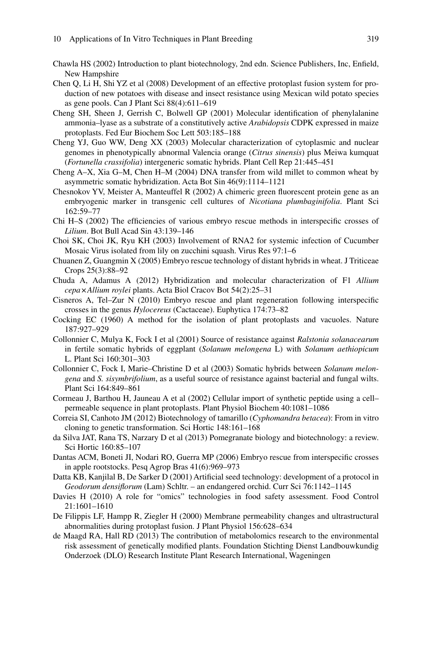- <span id="page-26-0"></span>Chawla HS (2002) Introduction to plant biotechnology, 2nd edn. Science Publishers, Inc. Enfield, New Hampshire
- Chen Q, Li H, Shi YZ et al (2008) Development of an effective protoplast fusion system for production of new potatoes with disease and insect resistance using Mexican wild potato species as gene pools. Can J Plant Sci 88(4):611–619
- Cheng SH, Sheen J, Gerrish C, Bolwell GP (2001) Molecular identification of phenylalanine ammonia–lyase as a substrate of a constitutively active *Arabidopsis* CDPK expressed in maize protoplasts. Fed Eur Biochem Soc Lett 503:185–188
- Cheng YJ, Guo WW, Deng XX (2003) Molecular characterization of cytoplasmic and nuclear genomes in phenotypically abnormal Valencia orange ( *Citrus sinensis* ) plus Meiwa kumquat ( *Fortunella crassifolia* ) intergeneric somatic hybrids. Plant Cell Rep 21:445–451
- Cheng A–X, Xia G–M, Chen H–M (2004) DNA transfer from wild millet to common wheat by asymmetric somatic hybridization. Acta Bot Sin 46(9):1114–1121
- Chesnokov YV, Meister A, Manteuffel R (2002) A chimeric green fluorescent protein gene as an embryogenic marker in transgenic cell cultures of *Nicotiana plumbaginifolia* . Plant Sci 162:59–77
- Chi H–S (2002) The efficiencies of various embryo rescue methods in interspecific crosses of *Lilium* . Bot Bull Acad Sin 43:139–146
- Choi SK, Choi JK, Ryu KH (2003) Involvement of RNA2 for systemic infection of Cucumber Mosaic Virus isolated from lily on zucchini squash. Virus Res 97:1–6
- Chuanen Z, Guangmin X (2005) Embryo rescue technology of distant hybrids in wheat. J Triticeae Crops 25(3):88–92
- Chuda A, Adamus A (2012) Hybridization and molecular characterization of F1 *Allium cepa* × *Allium roylei* plants. Acta Biol Cracov Bot 54(2):25–31
- Cisneros A, Tel–Zur N (2010) Embryo rescue and plant regeneration following interspecific crosses in the genus *Hylocereus* (Cactaceae). Euphytica 174:73–82
- Cocking EC (1960) A method for the isolation of plant protoplasts and vacuoles. Nature 187:927–929
- Collonnier C, Mulya K, Fock I et al (2001) Source of resistance against *Ralstonia solanacearum* in fertile somatic hybrids of eggplant ( *Solanum melongena* L) with *Solanum aethiopicum* L. Plant Sci 160:301–303
- Collonnier C, Fock I, Marie–Christine D et al (2003) Somatic hybrids between *Solanum melongena* and *S. sisymbrifolium*, as a useful source of resistance against bacterial and fungal wilts. Plant Sci 164:849–861
- Cormeau J, Barthou H, Jauneau A et al (2002) Cellular import of synthetic peptide using a cell– permeable sequence in plant protoplasts. Plant Physiol Biochem 40:1081–1086
- Correia SI, Canhoto JM (2012) Biotechnology of tamarillo ( *Cyphomandra betacea* ): From in vitro cloning to genetic transformation. Sci Hortic 148:161–168
- da Silva JAT, Rana TS, Narzary D et al (2013) Pomegranate biology and biotechnology: a review. Sci Hortic 160:85–107
- Dantas ACM, Boneti JI, Nodari RO, Guerra MP (2006) Embryo rescue from interspecific crosses in apple rootstocks. Pesq Agrop Bras 41(6):969–973
- Datta KB, Kanjilal B, De Sarker D (2001) Artificial seed technology: development of a protocol in Geodorum densiflorum (Lam) Schltr. - an endangered orchid. Curr Sci 76:1142-1145
- Davies H (2010) A role for "omics" technologies in food safety assessment. Food Control 21:1601–1610
- De Filippis LF, Hampp R, Ziegler H (2000) Membrane permeability changes and ultrastructural abnormalities during protoplast fusion. J Plant Physiol 156:628–634
- de Maagd RA, Hall RD (2013) The contribution of metabolomics research to the environmental risk assessment of genetically modified plants. Foundation Stichting Dienst Landbouwkundig Onderzoek (DLO) Research Institute Plant Research International, Wageningen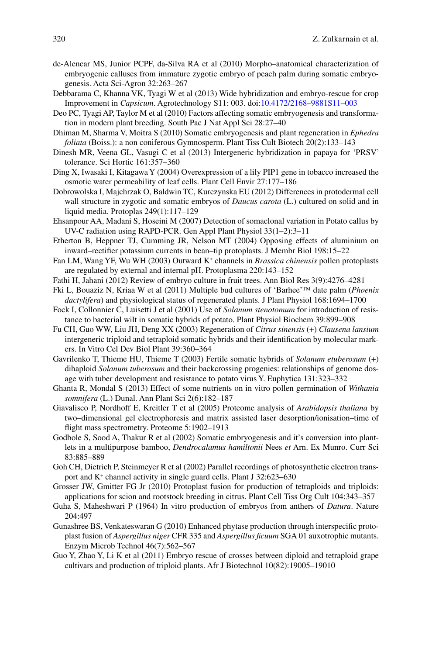- <span id="page-27-0"></span> de-Alencar MS, Junior PCPF, da-Silva RA et al (2010) Morpho–anatomical characterization of embryogenic calluses from immature zygotic embryo of peach palm during somatic embryogenesis. Acta Sci-Agron 32:263–267
- Debbarama C, Khanna VK, Tyagi W et al (2013) Wide hybridization and embryo-rescue for crop Improvement in *Capsicum* . Agrotechnology S11: 003. doi[:10.4172/2168–9881S11–003](http://dx.doi.org/10.4172/2168�9881S11�003)
- Deo PC, Tyagi AP, Taylor M et al (2010) Factors affecting somatic embryogenesis and transformation in modern plant breeding. South Pac J Nat Appl Sci 28:27–40
- Dhiman M, Sharma V, Moitra S (2010) Somatic embryogenesis and plant regeneration in *Ephedra foliata* (Boiss.): a non coniferous Gymnosperm. Plant Tiss Cult Biotech 20(2):133–143
- Dinesh MR, Veena GL, Vasugi C et al (2013) Intergeneric hybridization in papaya for 'PRSV' tolerance. Sci Hortic 161:357–360
- Ding X, Iwasaki I, Kitagawa Y (2004) Overexpression of a lily PIP1 gene in tobacco increased the osmotic water permeability of leaf cells. Plant Cell Envir 27:177–186
- Dobrowolska I, Majchrzak O, Baldwin TC, Kurczynska EU (2012) Differences in protodermal cell wall structure in zygotic and somatic embryos of *Daucus carota* (L.) cultured on solid and in liquid media. Protoplas 249(1):117–129
- Ehsanpour AA, Madani S, Hoseini M (2007) Detection of somaclonal variation in Potato callus by UV-C radiation using RAPD-PCR. Gen Appl Plant Physiol 33(1–2):3–11
- Etherton B, Heppner TJ, Cumming JR, Nelson MT (2004) Opposing effects of aluminium on inward–rectifier potassium currents in bean–tip protoplasts. J Membr Biol 198:15–22
- Fan LM, Wang YF, Wu WH (2003) Outward K<sup>+</sup> channels in *Brassica chinensis* pollen protoplasts are regulated by external and internal pH. Protoplasma 220:143–152
- Fathi H, Jahani (2012) Review of embryo culture in fruit trees. Ann Biol Res 3(9):4276–4281
- Fki L, Bouaziz N, Kriaa W et al (2011) Multiple bud cultures of 'Barhee'™ date palm ( *Phoenix dactylifera* ) and physiological status of regenerated plants. J Plant Physiol 168:1694–1700
- Fock I, Collonnier C, Luisetti J et al (2001) Use of *Solanum stenotomum* for introduction of resistance to bacterial wilt in somatic hybrids of potato. Plant Physiol Biochem 39:899–908
- Fu CH, Guo WW, Liu JH, Deng XX (2003) Regeneration of *Citrus sinensis* (+) *Clausena lansium* intergeneric triploid and tetraploid somatic hybrids and their identification by molecular markers. In Vitro Cel Dev Biol Plant 39:360–364
- Gavrilenko T, Thieme HU, Thieme T (2003) Fertile somatic hybrids of *Solanum etuberosum* (+) dihaploid *Solanum tuberosum* and their backcrossing progenies: relationships of genome dosage with tuber development and resistance to potato virus Y. Euphytica 131:323–332
- Ghanta R, Mondal S (2013) Effect of some nutrients on in vitro pollen germination of *Withania somnifera* (L.) Dunal. Ann Plant Sci 2(6):182–187
- Giavalisco P, Nordhoff E, Kreitler T et al (2005) Proteome analysis of *Arabidopsis thaliana* by two–dimensional gel electrophoresis and matrix assisted laser desorption/ionisation–time of flight mass spectrometry. Proteome 5:1902–1913
- Godbole S, Sood A, Thakur R et al (2002) Somatic embryogenesis and it's conversion into plantlets in a multipurpose bamboo, *Dendrocalamus hamiltonii* Nees *et* Arn. Ex Munro. Curr Sci 83:885–889
- Goh CH, Dietrich P, Steinmeyer R et al (2002) Parallel recordings of photosynthetic electron transport and  $K<sup>+</sup>$  channel activity in single guard cells. Plant J 32:623–630
- Grosser JW, Gmitter FG Jr (2010) Protoplast fusion for production of tetraploids and triploids: applications for scion and rootstock breeding in citrus. Plant Cell Tiss Org Cult 104:343–357
- Guha S, Maheshwari P (1964) In vitro production of embryos from anthers of *Datura* . Nature 204:497
- Gunashree BS, Venkateswaran G (2010) Enhanced phytase production through interspecific protoplast fusion of *Aspergillus niger* CFR 335 and *Aspergillus ficuum* SGA 01 auxotrophic mutants. Enzym Microb Technol 46(7):562–567
- Guo Y, Zhao Y, Li K et al (2011) Embryo rescue of crosses between diploid and tetraploid grape cultivars and production of triploid plants. Afr J Biotechnol 10(82):19005–19010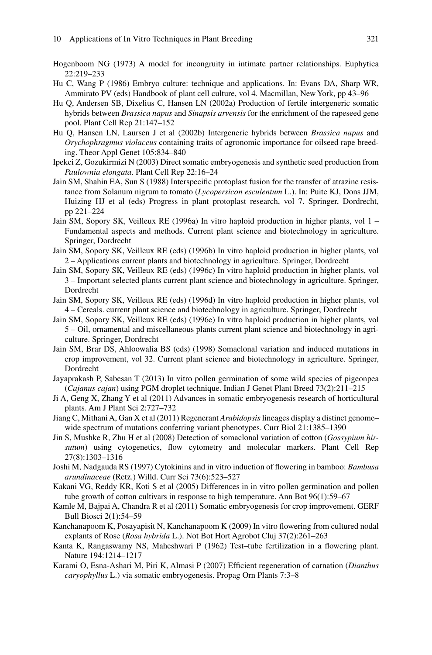- <span id="page-28-0"></span> Hogenboom NG (1973) A model for incongruity in intimate partner relationships. Euphytica 22:219–233
- Hu C, Wang P (1986) Embryo culture: technique and applications. In: Evans DA, Sharp WR, Ammirato PV (eds) Handbook of plant cell culture, vol 4. Macmillan, New York, pp 43–96
- Hu Q, Andersen SB, Dixelius C, Hansen LN (2002a) Production of fertile intergeneric somatic hybrids between *Brassica napus* and *Sinapsis arvensis* for the enrichment of the rapeseed gene pool. Plant Cell Rep 21:147–152
- Hu Q, Hansen LN, Laursen J et al (2002b) Intergeneric hybrids between *Brassica napus* and *Orychophragmus violaceus* containing traits of agronomic importance for oilseed rape breeding. Theor Appl Genet 105:834–840
- Ipekci Z, Gozukirmizi N (2003) Direct somatic embryogenesis and synthetic seed production from *Paulownia elongata* . Plant Cell Rep 22:16–24
- Jain SM, Shahin EA, Sun S (1988) Interspecific protoplast fusion for the transfer of atrazine resistance from Solanum nigrum to tomato ( *Lycopersicon esculentum* L.). In: Puite KJ, Dons JJM, Huizing HJ et al (eds) Progress in plant protoplast research, vol 7. Springer, Dordrecht, pp 221–224
- Jain SM, Sopory SK, Veilleux RE (1996a) In vitro haploid production in higher plants, vol 1 Fundamental aspects and methods. Current plant science and biotechnology in agriculture. Springer, Dordrecht
- Jain SM, Sopory SK, Veilleux RE (eds) (1996b) In vitro haploid production in higher plants, vol 2 – Applications current plants and biotechnology in agriculture. Springer, Dordrecht
- Jain SM, Sopory SK, Veilleux RE (eds) (1996c) In vitro haploid production in higher plants, vol 3 – Important selected plants current plant science and biotechnology in agriculture. Springer, Dordrecht
- Jain SM, Sopory SK, Veilleux RE (eds) (1996d) In vitro haploid production in higher plants, vol 4 – Cereals. current plant science and biotechnology in agriculture. Springer, Dordrecht
- Jain SM, Sopory SK, Veilleux RE (eds) (1996e) In vitro haploid production in higher plants, vol 5 – Oil, ornamental and miscellaneous plants current plant science and biotechnology in agriculture. Springer, Dordrecht
- Jain SM, Brar DS, Ahloowalia BS (eds) (1998) Somaclonal variation and induced mutations in crop improvement, vol 32. Current plant science and biotechnology in agriculture. Springer, Dordrecht
- Jayaprakash P, Sabesan T (2013) In vitro pollen germination of some wild species of pigeonpea ( *Cajanus cajan* ) using PGM droplet technique. Indian J Genet Plant Breed 73(2):211–215
- Ji A, Geng X, Zhang Y et al (2011) Advances in somatic embryogenesis research of horticultural plants. Am J Plant Sci 2:727–732
- Jiang C, Mithani A, Gan X et al (2011) Regenerant *Arabidopsis* lineages display a distinct genome– wide spectrum of mutations conferring variant phenotypes. Curr Biol 21:1385–1390
- Jin S, Mushke R, Zhu H et al (2008) Detection of somaclonal variation of cotton ( *Gossypium hir*sutum) using cytogenetics, flow cytometry and molecular markers. Plant Cell Rep 27(8):1303–1316
- Joshi M, Nadgauda RS (1997) Cytokinins and in vitro induction of flowering in bamboo: *Bambusa arundinaceae* (Retz.) Willd. Curr Sci 73(6):523–527
- Kakani VG, Reddy KR, Koti S et al (2005) Differences in in vitro pollen germination and pollen tube growth of cotton cultivars in response to high temperature. Ann Bot 96(1):59–67
- Kamle M, Bajpai A, Chandra R et al (2011) Somatic embryogenesis for crop improvement. GERF Bull Biosci 2(1):54–59
- Kanchanapoom K, Posayapisit N, Kanchanapoom K (2009) In vitro flowering from cultured nodal explants of Rose (*Rosa hybrida* L.). Not Bot Hort Agrobot Cluj 37(2):261-263
- Kanta K, Rangaswamy NS, Maheshwari P (1962) Test-tube fertilization in a flowering plant. Nature 194:1214–1217
- Karami O, Esna-Ashari M, Piri K, Almasi P (2007) Efficient regeneration of carnation (*Dianthus caryophyllus* L.) via somatic embryogenesis. Propag Orn Plants 7:3–8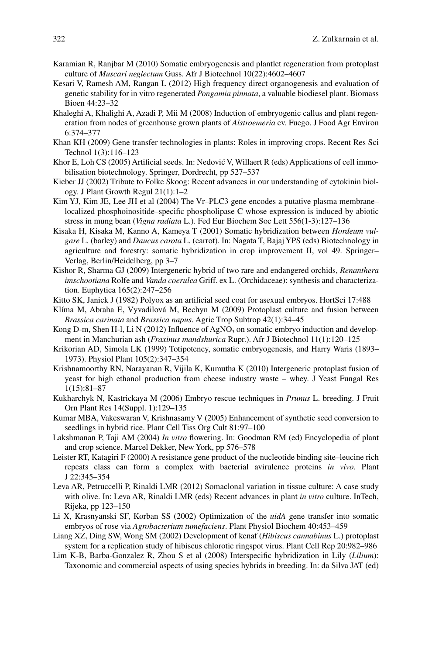- <span id="page-29-0"></span> Karamian R, Ranjbar M (2010) Somatic embryogenesis and plantlet regeneration from protoplast culture of *Muscari neglectum* Guss. Afr J Biotechnol 10(22):4602–4607
- Kesari V, Ramesh AM, Rangan L (2012) High frequency direct organogenesis and evaluation of genetic stability for in vitro regenerated *Pongamia pinnata* , a valuable biodiesel plant. Biomass Bioen 44:23–32
- Khaleghi A, Khalighi A, Azadi P, Mii M (2008) Induction of embryogenic callus and plant regeneration from nodes of greenhouse grown plants of *Alstroemeria* cv. Fuego. J Food Agr Environ 6:374–377
- Khan KH (2009) Gene transfer technologies in plants: Roles in improving crops. Recent Res Sci Technol 1(3):116–123
- Khor E, Loh CS (2005) Artificial seeds. In: Nedović V, Willaert R (eds) Applications of cell immobilisation biotechnology. Springer, Dordrecht, pp 527–537
- Kieber JJ (2002) Tribute to Folke Skoog: Recent advances in our understanding of cytokinin biology. J Plant Growth Regul 21(1):1–2
- Kim YJ, Kim JE, Lee JH et al (2004) The Vr–PLC3 gene encodes a putative plasma membrane– localized phosphoinositide–specific phospholipase C whose expression is induced by abiotic stress in mung bean ( *Vigna radiata* L.). Fed Eur Biochem Soc Lett 556(1-3):127–136
- Kisaka H, Kisaka M, Kanno A, Kameya T (2001) Somatic hybridization between *Hordeum vulgare* L. (barley) and *Daucus carota* L. (carrot). In: Nagata T, Bajaj YPS (eds) Biotechnology in agriculture and forestry: somatic hybridization in crop improvement II, vol 49. Springer– Verlag, Berlin/Heidelberg, pp 3–7
- Kishor R, Sharma GJ (2009) Intergeneric hybrid of two rare and endangered orchids, *Renanthera imschootiana* Rolfe and *Vanda coerulea* Griff. ex L. (Orchidaceae): synthesis and characterization. Euphytica 165(2):247–256
- Kitto SK, Janick J (1982) Polyox as an artificial seed coat for asexual embryos. HortSci 17:488
- Klíma M, Abraha E, Vyvadilová M, Bechyn M (2009) Protoplast culture and fusion between *Brassica carinata* and *Brassica napus* . Agric Trop Subtrop 42(1):34–45
- Kong D-m, Shen H-l, Li N (2012) Influence of AgNO<sub>3</sub> on somatic embryo induction and development in Manchurian ash ( *Fraxinus mandshurica* Rupr.). Afr J Biotechnol 11(1):120–125
- Krikorian AD, Simola LK (1999) Totipotency, somatic embryogenesis, and Harry Waris (1893– 1973). Physiol Plant 105(2):347–354
- Krishnamoorthy RN, Narayanan R, Vijila K, Kumutha K (2010) Intergeneric protoplast fusion of yeast for high ethanol production from cheese industry waste – whey. J Yeast Fungal Res 1(15):81–87
- Kukharchyk N, Kastrickaya M (2006) Embryo rescue techniques in *Prunus* L. breeding. J Fruit Orn Plant Res 14(Suppl. 1):129–135
- Kumar MBA, Vakeswaran V, Krishnasamy V (2005) Enhancement of synthetic seed conversion to seedlings in hybrid rice. Plant Cell Tiss Org Cult 81:97–100
- Lakshmanan P, Taji AM (2004) *In vitro* flowering. In: Goodman RM (ed) Encyclopedia of plant and crop science. Marcel Dekker, New York, pp 576–578
- Leister RT, Katagiri F (2000) A resistance gene product of the nucleotide binding site–leucine rich repeats class can form a complex with bacterial avirulence proteins *in vivo* . Plant J 22:345–354
- Leva AR, Petruccelli P, Rinaldi LMR (2012) Somaclonal variation in tissue culture: A case study with olive. In: Leva AR, Rinaldi LMR (eds) Recent advances in plant *in vitro* culture. InTech, Rijeka, pp 123–150
- Li X, Krasnyanski SF, Korban SS (2002) Optimization of the *uidA* gene transfer into somatic embryos of rose via *Agrobacterium tumefaciens* . Plant Physiol Biochem 40:453–459
- Liang XZ, Ding SW, Wong SM (2002) Development of kenaf ( *Hibiscus cannabinus* L.) protoplast system for a replication study of hibiscus chlorotic ringspot virus. Plant Cell Rep 20:982–986
- Lim K-B, Barba-Gonzalez R, Zhou S et al (2008) Interspecific hybridization in Lily (*Lilium*): Taxonomic and commercial aspects of using species hybrids in breeding. In: da Silva JAT (ed)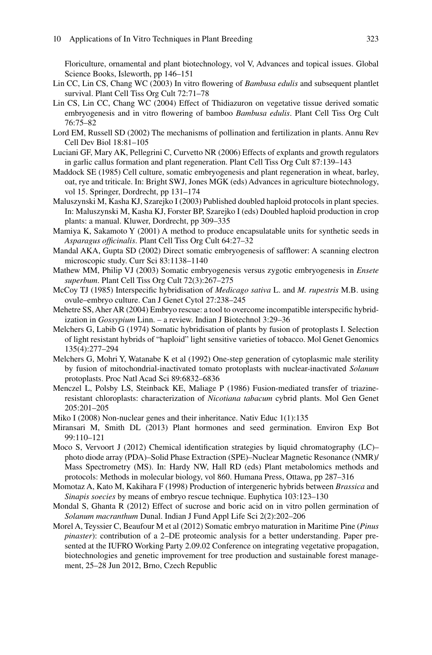<span id="page-30-0"></span>Floriculture, ornamental and plant biotechnology, vol V, Advances and topical issues. Global Science Books, Isleworth, pp 146–151

- Lin CC, Lin CS, Chang WC (2003) In vitro flowering of *Bambusa edulis* and subsequent plantlet survival. Plant Cell Tiss Org Cult 72:71–78
- Lin CS, Lin CC, Chang WC (2004) Effect of Thidiazuron on vegetative tissue derived somatic embryogenesis and in vitro flowering of bamboo *Bambusa edulis*. Plant Cell Tiss Org Cult 76:75–82
- Lord EM, Russell SD (2002) The mechanisms of pollination and fertilization in plants. Annu Rev Cell Dev Biol 18:81–105
- Luciani GF, Mary AK, Pellegrini C, Curvetto NR (2006) Effects of explants and growth regulators in garlic callus formation and plant regeneration. Plant Cell Tiss Org Cult 87:139–143
- Maddock SE (1985) Cell culture, somatic embryogenesis and plant regeneration in wheat, barley, oat, rye and triticale. In: Bright SWJ, Jones MGK (eds) Advances in agriculture biotechnology, vol 15. Springer, Dordrecht, pp 131–174
- Maluszynski M, Kasha KJ, Szarejko I (2003) Published doubled haploid protocols in plant species. In: Maluszynski M, Kasha KJ, Forster BP, Szarejko I (eds) Doubled haploid production in crop plants: a manual. Kluwer, Dordrecht, pp 309–335
- Mamiya K, Sakamoto Y (2001) A method to produce encapsulatable units for synthetic seeds in Asparagus officinalis. Plant Cell Tiss Org Cult 64:27–32
- Mandal AKA, Gupta SD (2002) Direct somatic embryogenesis of safflower: A scanning electron microscopic study. Curr Sci 83:1138–1140
- Mathew MM, Philip VJ (2003) Somatic embryogenesis versus zygotic embryogenesis in *Ensete*  superbum. Plant Cell Tiss Org Cult 72(3):267-275
- McCoy TJ (1985) Interspecific hybridisation of *Medicago sativa* L. and *M. rupestris* M.B. using ovule–embryo culture. Can J Genet Cytol 27:238–245
- Mehetre SS, Aher AR (2004) Embryo rescue: a tool to overcome incompatible interspecific hybridization in *Gossypium* Linn. – a review. Indian J Biotechnol 3:29–36
- Melchers G, Labib G (1974) Somatic hybridisation of plants by fusion of protoplasts I. Selection of light resistant hybrids of "haploid" light sensitive varieties of tobacco. Mol Genet Genomics 135(4):277–294
- Melchers G, Mohri Y, Watanabe K et al (1992) One-step generation of cytoplasmic male sterility by fusion of mitochondrial-inactivated tomato protoplasts with nuclear-inactivated *Solanum* protoplasts. Proc Natl Acad Sci 89:6832–6836
- Menczel L, Polsby LS, Steinback KE, Maliage P (1986) Fusion-mediated transfer of triazineresistant chloroplasts: characterization of *Nicotiana tabacum* cybrid plants. Mol Gen Genet 205:201–205
- Miko I (2008) Non-nuclear genes and their inheritance. Nativ Educ 1(1):135
- Miransari M, Smith DL (2013) Plant hormones and seed germination. Environ Exp Bot 99:110–121
- Moco S, Vervoort J (2012) Chemical identification strategies by liquid chromatography  $(LC)$  photo diode array (PDA)–Solid Phase Extraction (SPE)–Nuclear Magnetic Resonance (NMR)/ Mass Spectrometry (MS). In: Hardy NW, Hall RD (eds) Plant metabolomics methods and protocols: Methods in molecular biology, vol 860. Humana Press, Ottawa, pp 287–316
- Momotaz A, Kato M, Kakihara F (1998) Production of intergeneric hybrids between *Brassica* and *Sinapis soecies* by means of embryo rescue technique. Euphytica 103:123–130
- Mondal S, Ghanta R (2012) Effect of sucrose and boric acid on in vitro pollen germination of *Solanum macranthum* Dunal. Indian J Fund Appl Life Sci 2(2):202–206
- Morel A, Teyssier C, Beaufour M et al (2012) Somatic embryo maturation in Maritime Pine ( *Pinus pinaster* ): contribution of a 2–DE proteomic analysis for a better understanding. Paper presented at the IUFRO Working Party 2.09.02 Conference on integrating vegetative propagation, biotechnologies and genetic improvement for tree production and sustainable forest management, 25–28 Jun 2012, Brno, Czech Republic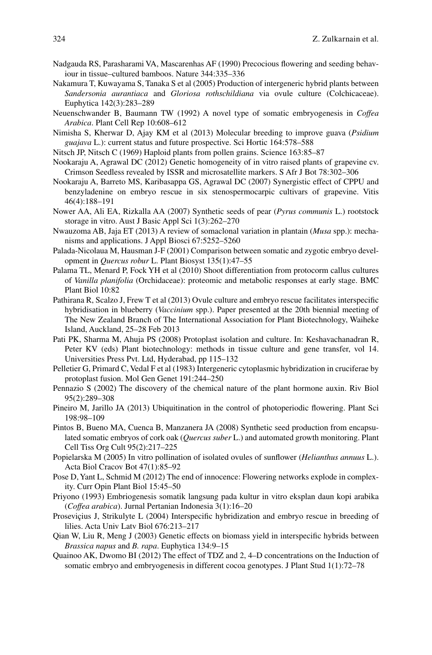- <span id="page-31-0"></span>Nadgauda RS, Parasharami VA, Mascarenhas AF (1990) Precocious flowering and seeding behaviour in tissue–cultured bamboos. Nature 344:335–336
- Nakamura T, Kuwayama S, Tanaka S et al (2005) Production of intergeneric hybrid plants between *Sandersonia aurantiaca* and *Gloriosa rothschildiana* via ovule culture (Colchicaceae). Euphytica 142(3):283–289
- Neuenschwander B, Baumann TW (1992) A novel type of somatic embryogenesis in *Coffea Arabica* . Plant Cell Rep 10:608–612
- Nimisha S, Kherwar D, Ajay KM et al (2013) Molecular breeding to improve guava ( *Psidium guajava* L.): current status and future prospective. Sci Hortic 164:578–588
- Nitsch JP, Nitsch C (1969) Haploid plants from pollen grains. Science 163:85–87
- Nookaraju A, Agrawal DC (2012) Genetic homogeneity of in vitro raised plants of grapevine cv. Crimson Seedless revealed by ISSR and microsatellite markers. S Afr J Bot 78:302–306
- Nookaraju A, Barreto MS, Karibasappa GS, Agrawal DC (2007) Synergistic effect of CPPU and benzyladenine on embryo rescue in six stenospermocarpic cultivars of grapevine. Vitis 46(4):188–191
- Nower AA, Ali EA, Rizkalla AA (2007) Synthetic seeds of pear ( *Pyrus communis* L.) rootstock storage in vitro. Aust J Basic Appl Sci 1(3):262–270
- Nwauzoma AB, Jaja ET (2013) A review of somaclonal variation in plantain ( *Musa* spp.): mechanisms and applications. J Appl Biosci 67:5252–5260
- Palada-Nicolaua M, Hausman J-F (2001) Comparison between somatic and zygotic embryo development in *Quercus robur* L. Plant Biosyst 135(1):47–55
- Palama TL, Menard P, Fock YH et al (2010) Shoot differentiation from protocorm callus cultures of *Vanilla planifolia* (Orchidaceae): proteomic and metabolic responses at early stage. BMC Plant Biol 10:82
- Pathirana R, Scalzo J, Frew T et al (2013) Ovule culture and embryo rescue facilitates interspecific hybridisation in blueberry ( *Vaccinium* spp.). Paper presented at the 20th biennial meeting of The New Zealand Branch of The International Association for Plant Biotechnology, Waiheke Island, Auckland, 25–28 Feb 2013
- Pati PK, Sharma M, Ahuja PS (2008) Protoplast isolation and culture. In: Keshavachanadran R, Peter KV (eds) Plant biotechnology: methods in tissue culture and gene transfer, vol 14. Universities Press Pvt. Ltd, Hyderabad, pp 115–132
- Pelletier G, Primard C, Vedal F et al (1983) Intergeneric cytoplasmic hybridization in cruciferae by protoplast fusion. Mol Gen Genet 191:244–250
- Pennazio S (2002) The discovery of the chemical nature of the plant hormone auxin. Riv Biol 95(2):289–308
- Pineiro M, Jarillo JA (2013) Ubiquitination in the control of photoperiodic flowering. Plant Sci 198:98–109
- Pintos B, Bueno MA, Cuenca B, Manzanera JA (2008) Synthetic seed production from encapsulated somatic embryos of cork oak (*Quercus suber* L.) and automated growth monitoring. Plant Cell Tiss Org Cult 95(2):217–225
- Popielarska M (2005) In vitro pollination of isolated ovules of sunflower (*Helianthus annuus* L.). Acta Biol Cracov Bot 47(1):85–92
- Pose D, Yant L, Schmid M (2012) The end of innocence: Flowering networks explode in complexity. Curr Opin Plant Biol 15:45–50
- Priyono (1993) Embriogenesis somatik langsung pada kultur in vitro eksplan daun kopi arabika ( *Coffea arabica* ). Jurnal Pertanian Indonesia 3(1):16–20
- Proseviçius J, Strikulyte L (2004) Interspecific hybridization and embryo rescue in breeding of lilies. Acta Univ Latv Biol 676:213–217
- Qian W, Liu R, Meng J (2003) Genetic effects on biomass yield in interspecific hybrids between *Brassica napus* and *B. rapa* . Euphytica 134:9–15
- Quainoo AK, Dwomo BI (2012) The effect of TDZ and 2, 4–D concentrations on the Induction of somatic embryo and embryogenesis in different cocoa genotypes. J Plant Stud 1(1):72–78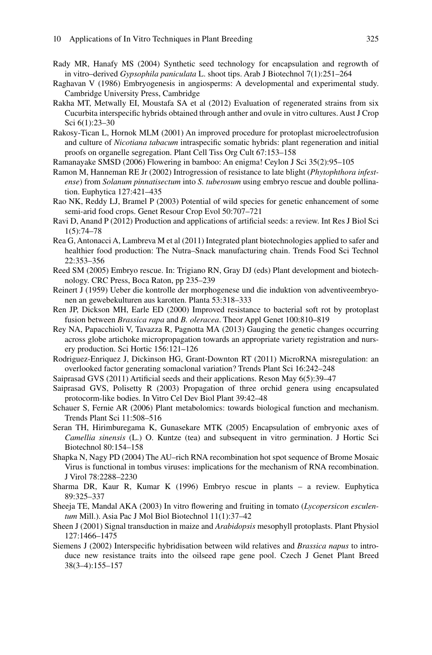- <span id="page-32-0"></span> Rady MR, Hanafy MS (2004) Synthetic seed technology for encapsulation and regrowth of in vitro–derived *Gypsophila paniculata* L. shoot tips. Arab J Biotechnol 7(1):251–264
- Raghavan V (1986) Embryogenesis in angiosperms: A developmental and experimental study. Cambridge University Press, Cambridge
- Rakha MT, Metwally EI, Moustafa SA et al (2012) Evaluation of regenerated strains from six Cucurbita interspecific hybrids obtained through anther and ovule in vitro cultures. Aust J Crop Sci 6(1):23–30
- Rakosy-Tican L, Hornok MLM (2001) An improved procedure for protoplast microelectrofusion and culture of *Nicotiana tabacum* intraspecific somatic hybrids: plant regeneration and initial proofs on organelle segregation. Plant Cell Tiss Org Cult 67:153–158
- Ramanayake SMSD (2006) Flowering in bamboo: An enigma! Ceylon J Sci 35(2):95–105
- Ramon M, Hanneman RE Jr (2002) Introgression of resistance to late blight ( *Phytophthora infestense* ) from *Solanum pinnatisectum* into *S. tuberosum* using embryo rescue and double pollination. Euphytica 127:421–435
- Rao NK, Reddy LJ, Bramel P (2003) Potential of wild species for genetic enhancement of some semi-arid food crops. Genet Resour Crop Evol 50:707–721
- Ravi D, Anand P (2012) Production and applications of artificial seeds: a review. Int Res J Biol Sci 1(5):74–78
- Rea G, Antonacci A, Lambreva M et al (2011) Integrated plant biotechnologies applied to safer and healthier food production: The Nutra–Snack manufacturing chain. Trends Food Sci Technol 22:353–356
- Reed SM (2005) Embryo rescue. In: Trigiano RN, Gray DJ (eds) Plant development and biotechnology. CRC Press, Boca Raton, pp 235–239
- Reinert J (1959) Ueber die kontrolle der morphogenese und die induktion von adventiveembryonen an gewebekulturen aus karotten. Planta 53:318–333
- Ren JP, Dickson MH, Earle ED (2000) Improved resistance to bacterial soft rot by protoplast fusion between *Brassica rapa* and *B. oleracea* . Theor Appl Genet 100:810–819
- Rey NA, Papacchioli V, Tavazza R, Pagnotta MA (2013) Gauging the genetic changes occurring across globe artichoke micropropagation towards an appropriate variety registration and nursery production. Sci Hortic 156:121–126
- Rodriguez-Enriquez J, Dickinson HG, Grant-Downton RT (2011) MicroRNA misregulation: an overlooked factor generating somaclonal variation? Trends Plant Sci 16:242–248
- Saiprasad GVS (2011) Artificial seeds and their applications. Reson May 6(5):39-47
- Saiprasad GVS, Polisetty R (2003) Propagation of three orchid genera using encapsulated protocorm- like bodies. In Vitro Cel Dev Biol Plant 39:42–48
- Schauer S, Fernie AR (2006) Plant metabolomics: towards biological function and mechanism. Trends Plant Sci 11:508–516
- Seran TH, Hirimburegama K, Gunasekare MTK (2005) Encapsulation of embryonic axes of *Camellia sinensis* (L.) O. Kuntze (tea) and subsequent in vitro germination. J Hortic Sci Biotechnol 80:154–158
- Shapka N, Nagy PD (2004) The AU–rich RNA recombination hot spot sequence of Brome Mosaic Virus is functional in tombus viruses: implications for the mechanism of RNA recombination. J Virol 78:2288–2230
- Sharma DR, Kaur R, Kumar K (1996) Embryo rescue in plants a review. Euphytica 89:325–337
- Sheeja TE, Mandal AKA (2003) In vitro flowering and fruiting in tomato (*Lycopersicon esculentum* Mill.). Asia Pac J Mol Biol Biotechnol 11(1):37–42
- Sheen J (2001) Signal transduction in maize and *Arabidopsis* mesophyll protoplasts. Plant Physiol 127:1466–1475
- Siemens J (2002) Interspecific hybridisation between wild relatives and *Brassica napus* to introduce new resistance traits into the oilseed rape gene pool. Czech J Genet Plant Breed 38(3–4):155–157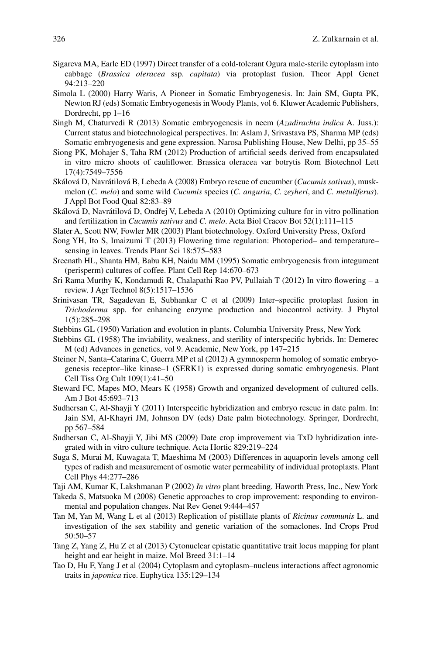- <span id="page-33-0"></span> Sigareva MA, Earle ED (1997) Direct transfer of a cold-tolerant Ogura male-sterile cytoplasm into cabbage ( *Brassica oleracea* ssp. *capitata* ) via protoplast fusion. Theor Appl Genet 94:213–220
- Simola L (2000) Harry Waris, A Pioneer in Somatic Embryogenesis. In: Jain SM, Gupta PK, Newton RJ (eds) Somatic Embryogenesis in Woody Plants, vol 6. Kluwer Academic Publishers, Dordrecht, pp 1–16
- Singh M, Chaturvedi R (2013) Somatic embryogenesis in neem ( *Azadirachta indica* A. Juss.): Current status and biotechnological perspectives. In: Aslam J, Srivastava PS, Sharma MP (eds) Somatic embryogenesis and gene expression. Narosa Publishing House, New Delhi, pp 35–55
- Siong PK, Mohajer S, Taha RM (2012) Production of artificial seeds derived from encapsulated in vitro micro shoots of cauliflower. Brassica oleracea var botrytis Rom Biotechnol Lett 17(4):7549–7556
- Skálová D, Navrátilová B, Lebeda A (2008) Embryo rescue of cucumber ( *Cucumis sativus* ), muskmelon ( *C. melo* ) and some wild *Cucumis* species ( *C. anguria* , *C. zeyheri* , and *C. metuliferus* ). J Appl Bot Food Qual 82:83–89
- Skálová D, Navrátilová D, Ondřej V, Lebeda A (2010) Optimizing culture for in vitro pollination and fertilization in *Cucumis sativus* and *C. melo* . Acta Biol Cracov Bot 52(1):111–115
- Slater A, Scott NW, Fowler MR (2003) Plant biotechnology. Oxford University Press, Oxford
- Song YH, Ito S, Imaizumi T (2013) Flowering time regulation: Photoperiod– and temperature– sensing in leaves. Trends Plant Sci 18:575–583
- Sreenath HL, Shanta HM, Babu KH, Naidu MM (1995) Somatic embryogenesis from integument (perisperm) cultures of coffee. Plant Cell Rep 14:670–673
- Sri Rama Murthy K, Kondamudi R, Chalapathi Rao PV, Pullaiah T (2012) In vitro flowering  $a$ review. J Agr Technol 8(5):1517–1536
- Srinivasan TR, Sagadevan E, Subhankar C et al (2009) Inter–specific protoplast fusion in *Trichoderma* spp. for enhancing enzyme production and biocontrol activity. J Phytol 1(5):285–298
- Stebbins GL (1950) Variation and evolution in plants. Columbia University Press, New York
- Stebbins GL (1958) The inviability, weakness, and sterility of interspecific hybrids. In: Demerec M (ed) Advances in genetics, vol 9. Academic, New York, pp 147–215
- Steiner N, Santa–Catarina C, Guerra MP et al (2012) A gymnosperm homolog of somatic embryogenesis receptor–like kinase–1 (SERK1) is expressed during somatic embryogenesis. Plant Cell Tiss Org Cult 109(1):41–50
- Steward FC, Mapes MO, Mears K (1958) Growth and organized development of cultured cells. Am J Bot 45:693–713
- Sudhersan C, Al-Shayji Y (2011) Interspecific hybridization and embryo rescue in date palm. In: Jain SM, Al-Khayri JM, Johnson DV (eds) Date palm biotechnology. Springer, Dordrecht, pp 567–584
- Sudhersan C, Al-Shayji Y, Jibi MS (2009) Date crop improvement via TxD hybridization integrated with in vitro culture technique. Acta Hortic 829:219–224
- Suga S, Murai M, Kuwagata T, Maeshima M (2003) Differences in aquaporin levels among cell types of radish and measurement of osmotic water permeability of individual protoplasts. Plant Cell Phys 44:277–286
- Taji AM, Kumar K, Lakshmanan P (2002) *In vitro* plant breeding. Haworth Press, Inc., New York
- Takeda S, Matsuoka M (2008) Genetic approaches to crop improvement: responding to environmental and population changes. Nat Rev Genet 9:444–457
- Tan M, Yan M, Wang L et al (2013) Replication of pistillate plants of *Ricinus communis* L. and investigation of the sex stability and genetic variation of the somaclones. Ind Crops Prod 50:50–57
- Tang Z, Yang Z, Hu Z et al (2013) Cytonuclear epistatic quantitative trait locus mapping for plant height and ear height in maize. Mol Breed 31:1–14
- Tao D, Hu F, Yang J et al (2004) Cytoplasm and cytoplasm–nucleus interactions affect agronomic traits in *japonica* rice. Euphytica 135:129–134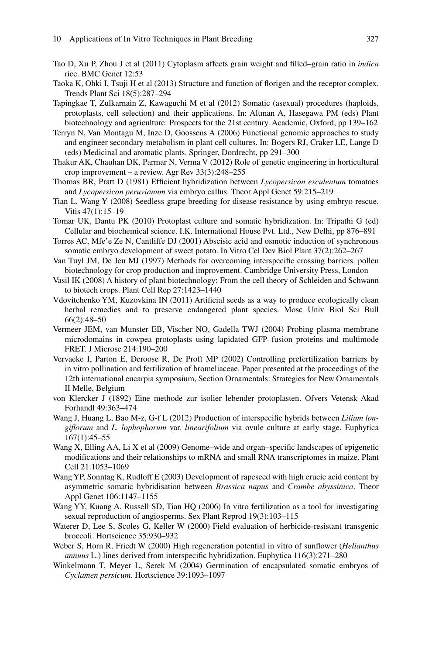- <span id="page-34-0"></span> Tao D, Xu P, Zhou J et al (2011) Cytoplasm affects grain weight and fi lled–grain ratio in *indica* rice. BMC Genet 12:53
- Taoka K, Ohki I, Tsuji H et al (2013) Structure and function of florigen and the receptor complex. Trends Plant Sci 18(5):287–294
- Tapingkae T, Zulkarnain Z, Kawaguchi M et al (2012) Somatic (asexual) procedures (haploids, protoplasts, cell selection) and their applications. In: Altman A, Hasegawa PM (eds) Plant biotechnology and agriculture: Prospects for the 21st century. Academic, Oxford, pp 139–162
- Terryn N, Van Montagu M, Inze D, Goossens A (2006) Functional genomic approaches to study and engineer secondary metabolism in plant cell cultures. In: Bogers RJ, Craker LE, Lange D (eds) Medicinal and aromatic plants. Springer, Dordrecht, pp 291–300
- Thakur AK, Chauhan DK, Parmar N, Verma V (2012) Role of genetic engineering in horticultural crop improvement – a review. Agr Rev 33(3):248–255
- Thomas BR, Pratt D (1981) Efficient hybridization between *Lycopersicon esculentum* tomatoes and *Lycopersicon peruvianum* via embryo callus. Theor Appl Genet 59:215–219
- Tian L, Wang Y (2008) Seedless grape breeding for disease resistance by using embryo rescue. Vitis 47(1):15–19
- Tomar UK, Dantu PK (2010) Protoplast culture and somatic hybridization. In: Tripathi G (ed) Cellular and biochemical science. I.K. International House Pvt. Ltd., New Delhi, pp 876–891
- Torres AC, Mfe'e Ze N, Cantliffe DJ (2001) Abscisic acid and osmotic induction of synchronous somatic embryo development of sweet potato. In Vitro Cel Dev Biol Plant 37(2):262–267
- Van Tuyl JM, De Jeu MJ (1997) Methods for overcoming interspecific crossing barriers. pollen biotechnology for crop production and improvement. Cambridge University Press, London
- Vasil IK (2008) A history of plant biotechnology: From the cell theory of Schleiden and Schwann to biotech crops. Plant Cell Rep 27:1423–1440
- Vdovitchenko YM, Kuzovkina IN (2011) Artificial seeds as a way to produce ecologically clean herbal remedies and to preserve endangered plant species. Mosc Univ Biol Sci Bull 66(2):48–50
- Vermeer JEM, van Munster EB, Vischer NO, Gadella TWJ (2004) Probing plasma membrane microdomains in cowpea protoplasts using lapidated GFP–fusion proteins and multimode FRET. J Microsc 214:190–200
- Vervaeke I, Parton E, Deroose R, De Proft MP (2002) Controlling prefertilization barriers by in vitro pollination and fertilization of bromeliaceae. Paper presented at the proceedings of the 12th international eucarpia symposium, Section Ornamentals: Strategies for New Ornamentals II Melle, Belgium
- von Klercker J (1892) Eine methode zur isolier lebender protoplasten. Ofvers Vetensk Akad Forhandl 49:363–474
- Wang J, Huang L, Bao M-z, G-f L (2012) Production of interspecific hybrids between *Lilium longifl orum* and *L. lophophorum* var. *linearifolium* via ovule culture at early stage. Euphytica 167(1):45–55
- Wang X, Elling AA, Li X et al (2009) Genome–wide and organ–specific landscapes of epigenetic modifications and their relationships to mRNA and small RNA transcriptomes in maize. Plant Cell 21:1053–1069
- Wang YP, Sonntag K, Rudloff E (2003) Development of rapeseed with high erucic acid content by asymmetric somatic hybridisation between *Brassica napus* and *Crambe abyssinica* . Theor Appl Genet 106:1147–1155
- Wang YY, Kuang A, Russell SD, Tian HQ (2006) In vitro fertilization as a tool for investigating sexual reproduction of angiosperms. Sex Plant Reprod 19(3):103–115
- Waterer D, Lee S, Scoles G, Keller W (2000) Field evaluation of herbicide-resistant transgenic broccoli. Hortscience 35:930–932
- Weber S, Horn R, Friedt W (2000) High regeneration potential in vitro of sunflower (*Helianthus annuus* L.) lines derived from interspecific hybridization. Euphytica 116(3):271-280
- Winkelmann T, Meyer L, Serek M (2004) Germination of encapsulated somatic embryos of *Cyclamen persicum* . Hortscience 39:1093–1097